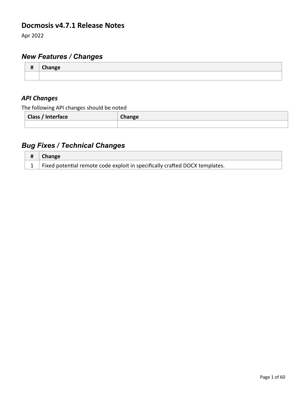### **Docmosis v4.7.1 Release Notes**

Apr 2022

# *New Features / Changes*

| <br>π | Chansca |
|-------|---------|
|       |         |

### *API Changes*

The following API changes should be noted

| <b>Class / Interface</b> | Change |
|--------------------------|--------|
|                          |        |

| $\#$ Change                                                                           |
|---------------------------------------------------------------------------------------|
| $\vert$ 1 Fixed potential remote code exploit in specifically crafted DOCX templates. |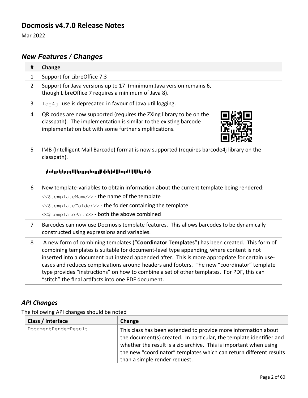### **Docmosis v4.7.0 Release Notes**

Mar 2022

# *New Features / Changes*

| #              | Change                                                                                                                                                                                                                                                                                                                                                                                                                                                                                                                                     |  |
|----------------|--------------------------------------------------------------------------------------------------------------------------------------------------------------------------------------------------------------------------------------------------------------------------------------------------------------------------------------------------------------------------------------------------------------------------------------------------------------------------------------------------------------------------------------------|--|
| $\mathbf{1}$   | Support for LibreOffice 7.3                                                                                                                                                                                                                                                                                                                                                                                                                                                                                                                |  |
| $\overline{2}$ | Support for Java versions up to 17 (minimum Java version remains 6,<br>though LibreOffice 7 requires a minimum of Java 8).                                                                                                                                                                                                                                                                                                                                                                                                                 |  |
| 3              | log4j use is deprecated in favour of Java util logging.                                                                                                                                                                                                                                                                                                                                                                                                                                                                                    |  |
| $\overline{4}$ | QR codes are now supported (requires the ZXing library to be on the<br>classpath). The implementation is similar to the existing barcode<br>implementation but with some further simplifications.                                                                                                                                                                                                                                                                                                                                          |  |
| 5              | IMB (Intelligent Mail Barcode) format is now supported (requires barcode4j library on the<br>classpath).<br>իսկրկերը Սիրըթերյինիկի ինքներներներ                                                                                                                                                                                                                                                                                                                                                                                            |  |
| 6              | New template-variables to obtain information about the current template being rendered:<br><<\$templateName>> - the name of the template<br>< <stemplatefolder>&gt; - the folder containing the template<br/>&lt;&lt;\$templatePath&gt;&gt; - both the above combined</stemplatefolder>                                                                                                                                                                                                                                                    |  |
| $\overline{7}$ | Barcodes can now use Docmosis template features. This allows barcodes to be dynamically<br>constructed using expressions and variables.                                                                                                                                                                                                                                                                                                                                                                                                    |  |
| 8              | A new form of combining templates ("Coordinator Templates") has been created. This form of<br>combining templates is suitable for document-level type appending, where content is not<br>inserted into a document but instead appended after. This is more appropriate for certain use-<br>cases and reduces complications around headers and footers. The new "coordinator" template<br>type provides "instructions" on how to combine a set of other templates. For PDF, this can<br>"stitch" the final artifacts into one PDF document. |  |

## *API Changes*

The following API changes should be noted

| Class / Interface    | Change                                                                                                                                                                                                                                                                                                            |
|----------------------|-------------------------------------------------------------------------------------------------------------------------------------------------------------------------------------------------------------------------------------------------------------------------------------------------------------------|
| DocumentRenderResult | This class has been extended to provide more information about<br>the document(s) created. In particular, the template identifier and<br>whether the result is a zip archive. This is important when using<br>the new "coordinator" templates which can return different results<br>than a simple render request. |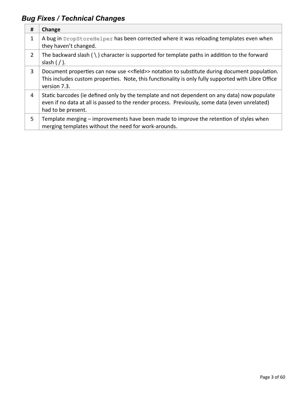| #              | Change                                                                                                                                                                                                               |
|----------------|----------------------------------------------------------------------------------------------------------------------------------------------------------------------------------------------------------------------|
| 1              | A bug in DropStoreHelper has been corrected where it was reloading templates even when<br>they haven't changed.                                                                                                      |
| $\overline{2}$ | The backward slash $( \ )$ character is supported for template paths in addition to the forward<br>slash $\frac{1}{2}$ .                                                                                             |
| 3              | Document properties can now use << field>> notation to substitute during document population.<br>This includes custom properties. Note, this functionality is only fully supported with Libre Office<br>version 7.3. |
| 4              | Static barcodes (ie defined only by the template and not dependent on any data) now populate<br>even if no data at all is passed to the render process. Previously, some data (even unrelated)<br>had to be present. |
| 5              | Template merging – improvements have been made to improve the retention of styles when<br>merging templates without the need for work-arounds.                                                                       |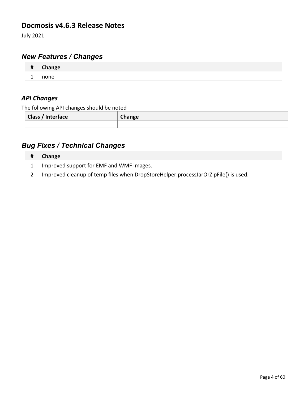### **Docmosis v4.6.3 Release Notes**

July 2021

# *New Features / Changes*

| $\mathbf{u}$<br>π | $\bigcap_{n=1}^{\infty}$ |
|-------------------|--------------------------|
|                   | יוור<br>                 |

### *API Changes*

The following API changes should be noted

| <b>Class / Interface</b> | Change |
|--------------------------|--------|
|                          |        |

| # | <b>Change</b>                                                                      |
|---|------------------------------------------------------------------------------------|
|   | Improved support for EMF and WMF images.                                           |
|   | Improved cleanup of temp files when DropStoreHelper.processJarOrZipFile() is used. |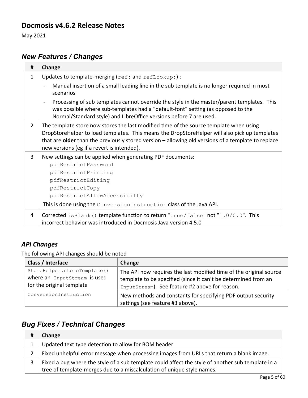### **Docmosis v4.6.2 Release Notes**

May 2021

# *New Features / Changes*

| #              | Change                                                                                                                                                                                                                                                                                                                                        |
|----------------|-----------------------------------------------------------------------------------------------------------------------------------------------------------------------------------------------------------------------------------------------------------------------------------------------------------------------------------------------|
| $\mathbf{1}$   | Updates to template-merging (ref: and refLookup:):                                                                                                                                                                                                                                                                                            |
|                | Manual insertion of a small leading line in the sub template is no longer required in most<br>scenarios                                                                                                                                                                                                                                       |
|                | Processing of sub templates cannot override the style in the master/parent templates. This<br>$\blacksquare$<br>was possible where sub-templates had a "default-font" setting (as opposed to the<br>Normal/Standard style) and LibreOffice versions before 7 are used.                                                                        |
| $\overline{2}$ | The template store now stores the last modified time of the source template when using<br>DropStoreHelper to load templates. This means the DropStoreHelper will also pick up templates<br>that are older than the previously stored version $-$ allowing old versions of a template to replace<br>new versions (eg if a revert is intended). |
| 3              | New settings can be applied when generating PDF documents:                                                                                                                                                                                                                                                                                    |
|                | pdfRestrictPassword                                                                                                                                                                                                                                                                                                                           |
|                | pdfRestrictPrinting                                                                                                                                                                                                                                                                                                                           |
|                | pdfRestrictEditing                                                                                                                                                                                                                                                                                                                            |
|                | pdfRestrictCopy                                                                                                                                                                                                                                                                                                                               |
|                | pdfRestrictAllowAccessibilty                                                                                                                                                                                                                                                                                                                  |
|                | This is done using the Conversion Instruction class of the Java API.                                                                                                                                                                                                                                                                          |
| 4              | Corrected is Blank () template function to return "true/false" not "1.0/0.0". This<br>incorrect behavior was introduced in Docmosis Java version 4.5.0                                                                                                                                                                                        |

### *API Changes*

The following API changes should be noted

| Class / Interface                                                                        | Change                                                                                                                                                                                 |
|------------------------------------------------------------------------------------------|----------------------------------------------------------------------------------------------------------------------------------------------------------------------------------------|
| StoreHelper.storeTemplate()<br>where an InputStream is used<br>for the original template | The API now requires the last modified time of the original source<br>template to be specified (since it can't be determined from an<br>InputStream). See feature #2 above for reason. |
| ConversionInstruction                                                                    | New methods and constants for specifying PDF output security<br>settings (see feature #3 above).                                                                                       |

| Change                                                                                            |
|---------------------------------------------------------------------------------------------------|
| Updated text type detection to allow for BOM header                                               |
| Fixed unhelpful error message when processing images from URLs that return a blank image.         |
| Fixed a bug where the style of a sub template could affect the style of another sub template in a |
| tree of template-merges due to a miscalculation of unique style names.                            |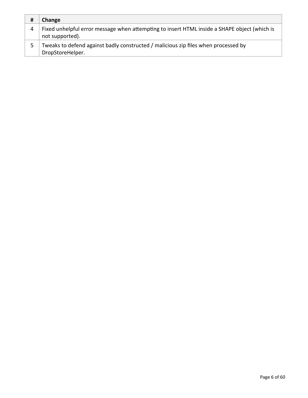| #   | Change                                                                                                          |
|-----|-----------------------------------------------------------------------------------------------------------------|
| 4   | Fixed unhelpful error message when attempting to insert HTML inside a SHAPE object (which is<br>not supported). |
| .5. | Tweaks to defend against badly constructed / malicious zip files when processed by<br>DropStoreHelper.          |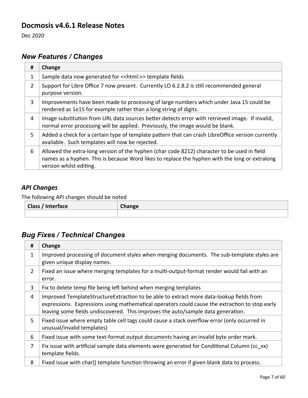### **Docmosis v4.6.1 Release Notes**

Dec 2020

# *New Features / Changes*

| #              | Change                                                                                                                                                                                                                   |
|----------------|--------------------------------------------------------------------------------------------------------------------------------------------------------------------------------------------------------------------------|
| 1              | Sample data now generated for << html: >> template fields                                                                                                                                                                |
| $\overline{2}$ | Support for Libre Office 7 now present. Currently LO 6.2.8.2 is still recommended general<br>purpose version.                                                                                                            |
| 3              | Improvements have been made to processing of large numbers which under Java 15 could be<br>rendered as 1e15 for example rather than a long string of digits.                                                             |
| 4              | Image substitution from URL data sources better detects error with retrieved image. If invalid,<br>normal error processing will be applied. Previously, the image would be blank.                                        |
| 5.             | Added a check for a certain type of template pattern that can crash LibreOffice version currently<br>available. Such templates will now be rejected.                                                                     |
| 6              | Allowed the extra-long version of the hyphen (char code 8212) character to be used in field<br>names as a hyphen. This is because Word likes to replace the hyphen with the long or extralong<br>version whilst editing. |

#### *API Changes*

The following API changes should be noted

| Class / Interface | $\mathcal{L}$ hange |
|-------------------|---------------------|
|                   |                     |

| #              | Change                                                                                                                                                                                                                                                                        |
|----------------|-------------------------------------------------------------------------------------------------------------------------------------------------------------------------------------------------------------------------------------------------------------------------------|
| 1              | Improved processing of document styles when merging documents. The sub-template styles are<br>given unique display names.                                                                                                                                                     |
| $\overline{2}$ | Fixed an issue where merging templates for a multi-output-format render would fail with an<br>error.                                                                                                                                                                          |
| 3              | Fix to delete temp file being left behind when merging templates                                                                                                                                                                                                              |
| 4              | Improved TemplateStructureExtraction to be able to extract more data-lookup fields from<br>expressions. Expressions using mathematical operators could cause the extraction to stop early<br>leaving some fields undiscovered. This improves the auto/sample data generation. |
| 5              | Fixed issue where empty table cell tags could cause a stack overflow error (only occurred in<br>unusual/invalid templates)                                                                                                                                                    |
| 6              | Fixed issue with some text-format output documents having an invalid byte order mark.                                                                                                                                                                                         |
| $\overline{7}$ | Fix issue with artificial sample data elements were generated for Conditional Column (cc xx)<br>template fields.                                                                                                                                                              |
| 8              | Fixed issue with char() template function throwing an error if given blank data to process.                                                                                                                                                                                   |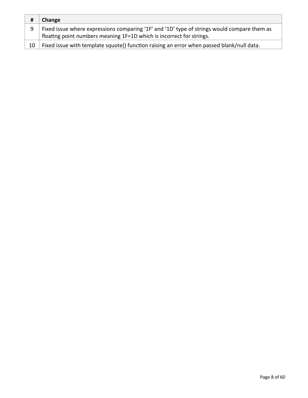| #  | <b>Change</b>                                                                               |
|----|---------------------------------------------------------------------------------------------|
|    | Fixed issue where expressions comparing '1F' and '1D' type of strings would compare them as |
|    | floating point numbers meaning 1F=1D which is incorrect for strings.                        |
| 10 | Fixed issue with template squote() function raising an error when passed blank/null data.   |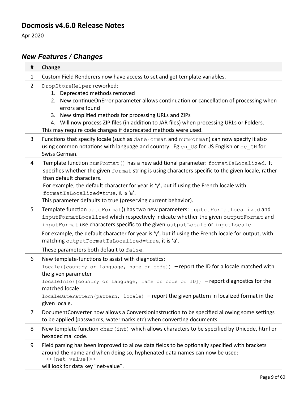### **Docmosis v4.6.0 Release Notes**

Apr 2020

# *New Features / Changes*

| #              | Change                                                                                                                                                                                                                                                                                                                                                                                                                                                          |
|----------------|-----------------------------------------------------------------------------------------------------------------------------------------------------------------------------------------------------------------------------------------------------------------------------------------------------------------------------------------------------------------------------------------------------------------------------------------------------------------|
| $\mathbf{1}$   | Custom Field Renderers now have access to set and get template variables.                                                                                                                                                                                                                                                                                                                                                                                       |
| $\overline{2}$ | DropStoreHelper reworked:<br>1. Deprecated methods removed<br>2. New continue On Error parameter allows continuation or cancellation of processing when<br>errors are found<br>3. New simplified methods for processing URLs and ZIPs<br>4. Will now process ZIP files (in addition to JAR files) when processing URLs or Folders.<br>This may require code changes if deprecated methods were used.                                                            |
| 3              | Functions that specify locale (such as dateFormat and numFormat) can now specify it also<br>using common notations with language and country. Eg en US for US English or de CH for<br>Swiss German.                                                                                                                                                                                                                                                             |
| 4              | Template function numFormat () has a new additional parameter: formatIsLocalized. It<br>specifies whether the given format string is using characters specific to the given locale, rather<br>than default characters.<br>For example, the default character for year is 'y', but if using the French locale with<br>formatIsLocalized=true, it is 'a'.<br>This parameter defaults to true (preserving current behavior).                                       |
| 5              | Template function dateFormat() has two new parameters: ouptutFormatLocalized and<br>inputFormatLocalized which respectively indicate whether the given outputFormat and<br>inputFormat use characters specific to the given outputLocale or inputLocale.<br>For example, the default character for year is 'y', but if using the French locale for output, with<br>matching outputFormatIsLocalized=true, it is 'a'.<br>These parameters both default to false. |
| 6              | New template-functions to assist with diagnostics:<br>locale ([country or language, name or code]) -report the ID for a locale matched with<br>the given parameter<br>localeInfo([country or language, name or code or ID]) -report diagnostics for the<br>matched locale<br>localeDatePattern (pattern, locale) - report the given pattern in localized format in the<br>given locale.                                                                         |
| 7              | Document Converter now allows a Conversion Instruction to be specified allowing some settings<br>to be applied (passwords, watermarks etc) when converting documents.                                                                                                                                                                                                                                                                                           |
| 8              | New template function char (int) which allows characters to be specified by Unicode, html or<br>hexadecimal code.                                                                                                                                                                                                                                                                                                                                               |
| 9              | Field parsing has been improved to allow data fields to be optionally specified with brackets<br>around the name and when doing so, hyphenated data names can now be used:<br><<[net-value]>><br>will look for data key "net-value".                                                                                                                                                                                                                            |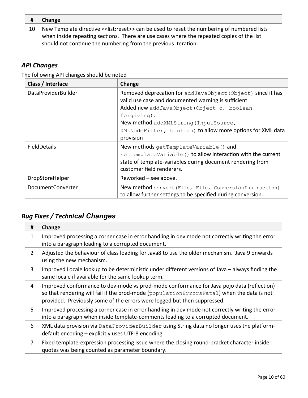| #  | Change                                                                                       |
|----|----------------------------------------------------------------------------------------------|
| 10 | New Template directive << list: reset>> can be used to reset the numbering of numbered lists |
|    | when inside repeating sections. There are use cases where the repeated copies of the list    |
|    | should not continue the numbering from the previous iteration.                               |

The following API changes should be noted

| Class / Interface          | Change                                                                                                                                                                                                                                                                                               |
|----------------------------|------------------------------------------------------------------------------------------------------------------------------------------------------------------------------------------------------------------------------------------------------------------------------------------------------|
| <b>DataProviderBuilder</b> | Removed deprecation for addJavaObject (Object) since it has<br>valid use case and documented warning is sufficient.<br>Added new addJavaObject (Object o, boolean<br>forgiving).<br>New method addXMLString (InputSource,<br>XMLNodeFilter, boolean) to allow more options for XML data<br>provision |
| <b>FieldDetails</b>        | New methods getTemplateVariable() and<br>setTemplateVariable() to allow interaction with the current<br>state of template-variables during document rendering from<br>customer field renderers.                                                                                                      |
| DropStoreHelper            | Reworked $-$ see above.                                                                                                                                                                                                                                                                              |
| <b>DocumentConverter</b>   | New method convert (File, File, ConversionInstruction)<br>to allow further settings to be specified during conversion.                                                                                                                                                                               |

| #              | Change                                                                                                                                                                                                                                                             |
|----------------|--------------------------------------------------------------------------------------------------------------------------------------------------------------------------------------------------------------------------------------------------------------------|
| 1              | Improved processing a corner case in error handling in dev mode not correctly writing the error<br>into a paragraph leading to a corrupted document.                                                                                                               |
| $\overline{2}$ | Adjusted the behaviour of class loading for Java8 to use the older mechanism. Java 9 onwards<br>using the new mechanism.                                                                                                                                           |
| 3              | Improved Locale lookup to be deterministic under different versions of Java – always finding the<br>same locale if available for the same lookup term.                                                                                                             |
| 4              | Improved conformance to dev-mode vs prod-mode conformance for Java pojo data (reflection)<br>so that rendering will fail if the prod-mode (populationErrorsFatal) when the data is not<br>provided. Previously some of the errors were logged but then suppressed. |
| 5              | Improved processing a corner case in error handling in dev mode not correctly writing the error<br>into a paragraph when inside template-comments leading to a corrupted document.                                                                                 |
| 6              | XML data provision via DataProviderBuilder using String data no longer uses the platform-<br>default encoding - explicitly uses UTF-8 encoding.                                                                                                                    |
| 7              | Fixed template-expression processing issue where the closing round-bracket character inside<br>quotes was being counted as parameter boundary.                                                                                                                     |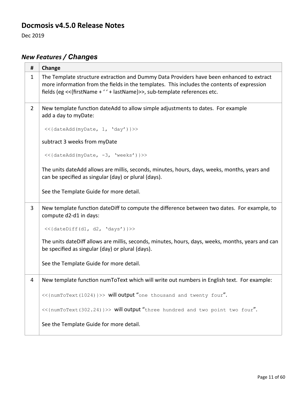# **Docmosis v4.5.0 Release Notes**

Dec 2019

# *New Features / Changes*

| #              | Change                                                                                                                                                                                                                                                                |
|----------------|-----------------------------------------------------------------------------------------------------------------------------------------------------------------------------------------------------------------------------------------------------------------------|
| $\mathbf{1}$   | The Template structure extraction and Dummy Data Providers have been enhanced to extract<br>more information from the fields in the templates. This includes the contents of expression<br>fields (eg << {firstName + ' ' + lastName}>>, sub-template references etc. |
| $\overline{2}$ | New template function dateAdd to allow simple adjustments to dates. For example<br>add a day to myDate:                                                                                                                                                               |
|                | <<{dateAdd(myDate, 1, 'day') }>>                                                                                                                                                                                                                                      |
|                | subtract 3 weeks from myDate                                                                                                                                                                                                                                          |
|                | <<{dateAdd(myDate, -3, 'weeks') }>>                                                                                                                                                                                                                                   |
|                | The units dateAdd allows are millis, seconds, minutes, hours, days, weeks, months, years and<br>can be specified as singular (day) or plural (days).                                                                                                                  |
|                | See the Template Guide for more detail.                                                                                                                                                                                                                               |
| 3              | New template function dateDiff to compute the difference between two dates. For example, to<br>compute d2-d1 in days:                                                                                                                                                 |
|                | <<{dateDiff(d1, d2, 'days')}>>                                                                                                                                                                                                                                        |
|                | The units dateDiff allows are millis, seconds, minutes, hours, days, weeks, months, years and can<br>be specified as singular (day) or plural (days).                                                                                                                 |
|                | See the Template Guide for more detail.                                                                                                                                                                                                                               |
| 4              | New template function numToText which will write out numbers in English text. For example:                                                                                                                                                                            |
|                | <<{numToText(1024)}>> will output "one thousand and twenty four".                                                                                                                                                                                                     |
|                | <<{numToText(302.24)}>> will output "three hundred and two point two four".                                                                                                                                                                                           |
|                | See the Template Guide for more detail.                                                                                                                                                                                                                               |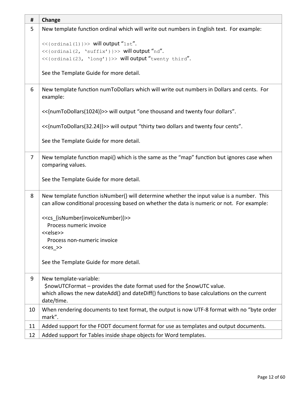| #              | Change                                                                                                                                                                                  |
|----------------|-----------------------------------------------------------------------------------------------------------------------------------------------------------------------------------------|
| 5              | New template function ordinal which will write out numbers in English text. For example:                                                                                                |
|                | <<{ordinal(1)}>> will output "1st".<br><<{ordinal(2, 'suffix')}>> will output "nd".<br><<{ordinal(23, 'long')}>> will output "twenty third".                                            |
|                | See the Template Guide for more detail.                                                                                                                                                 |
| 6              | New template function numToDollars which will write out numbers in Dollars and cents. For<br>example:                                                                                   |
|                | << {numToDollars(1024)}>> will output "one thousand and twenty four dollars".                                                                                                           |
|                | << {numToDollars(32.24)}>> will output "thirty two dollars and twenty four cents".                                                                                                      |
|                | See the Template Guide for more detail.                                                                                                                                                 |
| $\overline{7}$ | New template function mapi() which is the same as the "map" function but ignores case when<br>comparing values.                                                                         |
|                | See the Template Guide for more detail.                                                                                                                                                 |
| 8              | New template function isNumber() will determine whether the input value is a number. This<br>can allow conditional processing based on whether the data is numeric or not. For example: |
|                | < <cs {isnumber(invoicenumber)}="">&gt;<br/>Process numeric invoice</cs>                                                                                                                |
|                | < <else>&gt;</else>                                                                                                                                                                     |
|                | Process non-numeric invoice<br>$< >>$                                                                                                                                                   |
|                |                                                                                                                                                                                         |
|                | See the Template Guide for more detail.                                                                                                                                                 |
| 9              | New template-variable:                                                                                                                                                                  |
|                | \$nowUTCFormat - provides the date format used for the \$nowUTC value.<br>which allows the new dateAdd() and dateDiff() functions to base calculations on the current                   |
|                | date/time.                                                                                                                                                                              |
| 10             | When rendering documents to text format, the output is now UTF-8 format with no "byte order<br>mark".                                                                                   |
| 11             | Added support for the FODT document format for use as templates and output documents.                                                                                                   |
| 12             | Added support for Tables inside shape objects for Word templates.                                                                                                                       |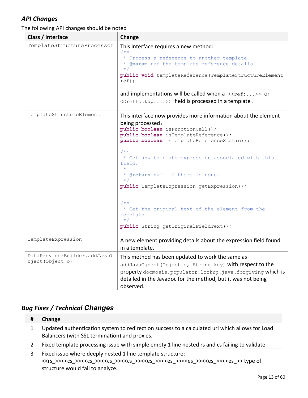The following API changes should be noted

| Class / Interface                                | Change                                                                                                                                                                                                                                                                                                                                                                                                                                                                                                                |
|--------------------------------------------------|-----------------------------------------------------------------------------------------------------------------------------------------------------------------------------------------------------------------------------------------------------------------------------------------------------------------------------------------------------------------------------------------------------------------------------------------------------------------------------------------------------------------------|
| TemplateStructureProcessor                       | This interface requires a new method:<br>$7**$<br>* Process a reference to another template<br>* @param ref the template reference details<br>$\star/$<br>public void templateReference (TemplateStructureElement<br>ref);<br>and implementations will be called when a $\langle\langle {\tt ref:} \ldots \rangle \rangle$ or<br>< <reflookup:>&gt; field is processed in a template.</reflookup:>                                                                                                                    |
| TemplateStructureElement                         | This interface now provides more information about the element<br>being processed:<br>public boolean isFunctionCall();<br>public boolean isTemplateReference();<br>public boolean isTemplateReferenceStatic();<br>$7**$<br>* Get any template-expression associated with this<br>field.<br>* @return null if there is none.<br>$\star$ /<br>public TemplateExpression getExpression();<br>$/ * *$<br>* Get the original text of the element from the<br>template<br>$\star/$<br>public String getOriginalFieldText(); |
| TemplateExpression                               | A new element providing details about the expression field found<br>in a template.                                                                                                                                                                                                                                                                                                                                                                                                                                    |
| DataProviderBuilder.addJavaO<br>bject (Object o) | This method has been updated to work the same as<br>addJavaOjbect (Object o, String key) with respect to the<br>property docmosis.populator.lookup.java.forgiving which is<br>detailed in the Javadoc for the method, but it was not being<br>observed.                                                                                                                                                                                                                                                               |

| # | Change                                                                                                                                                                                                                                                                                                                      |
|---|-----------------------------------------------------------------------------------------------------------------------------------------------------------------------------------------------------------------------------------------------------------------------------------------------------------------------------|
|   | Updated authentication system to redirect on success to a calculated url which allows for Load<br>Balancers (with SSL termination) and proxies.                                                                                                                                                                             |
| 2 | Fixed template processing issue with simple empty 1 line nested rs and cs failing to validate                                                                                                                                                                                                                               |
|   | Fixed issue where deeply nested 1 line template structure:<br>< <rs>&gt;&lt;<cs>&gt;&lt;<cs>&gt;&lt;<cs>&gt;&lt;<cs>&gt;&lt;<cs>&gt;&lt;<cs>&gt;&lt;<cs>&gt;&lt;<ces>&gt;&lt;<es>&gt;&lt;<es>&gt;&lt;<es>&gt;&gt; type of<br/>structure would fail to analyze.</es></es></es></ces></cs></cs></cs></cs></cs></cs></cs></rs> |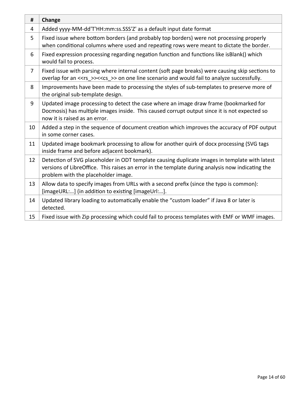| #  | Change                                                                                                                                                                                                                                   |
|----|------------------------------------------------------------------------------------------------------------------------------------------------------------------------------------------------------------------------------------------|
| 4  | Added yyyy-MM-dd'T'HH:mm:ss.SSS'Z' as a default input date format                                                                                                                                                                        |
| 5  | Fixed issue where bottom borders (and probably top borders) were not processing properly<br>when conditional columns where used and repeating rows were meant to dictate the border.                                                     |
| 6  | Fixed expression processing regarding negation function and functions like isBlank() which<br>would fail to process.                                                                                                                     |
| 7  | Fixed issue with parsing where internal content (soft page breaks) were causing skip sections to<br>overlap for an < <rs_>&gt;&lt;<cs_>&gt; on one line scenario and would fail to analyze successfully.</cs_></rs_>                     |
| 8  | Improvements have been made to processing the styles of sub-templates to preserve more of<br>the original sub-template design.                                                                                                           |
| 9  | Updated image processing to detect the case where an image draw frame (bookmarked for<br>Docmosis) has multiple images inside. This caused corrupt output since it is not expected so<br>now it is raised as an error.                   |
| 10 | Added a step in the sequence of document creation which improves the accuracy of PDF output<br>in some corner cases.                                                                                                                     |
| 11 | Updated image bookmark processing to allow for another quirk of docx processing (SVG tags<br>inside frame and before adjacent bookmark).                                                                                                 |
| 12 | Detection of SVG placeholder in ODT template causing duplicate images in template with latest<br>versions of LibreOffice. This raises an error in the template during analysis now indicating the<br>problem with the placeholder image. |
| 13 | Allow data to specify images from URLs with a second prefix (since the typo is common):<br>[imageURL:] (in addition to existing [imageUrl:].                                                                                             |
| 14 | Updated library loading to automatically enable the "custom loader" if Java 8 or later is<br>detected.                                                                                                                                   |
| 15 | Fixed issue with Zip processing which could fail to process templates with EMF or WMF images.                                                                                                                                            |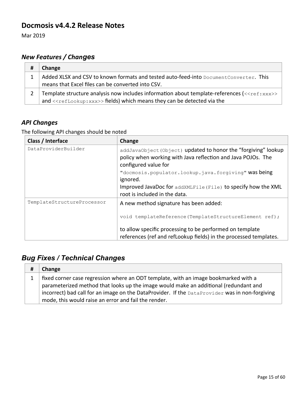### **Docmosis v4.4.2 Release Notes**

Mar 2019

## *New Features / Changes*

| # | Change                                                                                                       |
|---|--------------------------------------------------------------------------------------------------------------|
|   | Added XLSX and CSV to known formats and tested auto-feed-into DocumentConverter. This                        |
|   | means that Excel files can be converted into CSV.                                                            |
|   | Template structure analysis now includes information about template-references ( $\langle \langle$ ref:xxx>> |
|   | and < <reflookup: xxx="">&gt; fields) which means they can be detected via the</reflookup:>                  |

### *API Changes*

The following API changes should be noted

| Class / Interface          | Change                                                                                                                                                                                                         |
|----------------------------|----------------------------------------------------------------------------------------------------------------------------------------------------------------------------------------------------------------|
| DataProviderBuilder        | addJavaObject (Object) updated to honor the "forgiving" lookup<br>policy when working with Java reflection and Java POJOs. The<br>configured value for<br>"docmosis.populator.lookup.java.forgiving" was being |
|                            | ignored.                                                                                                                                                                                                       |
|                            | Improved JavaDoc for addXMLFile (File) to specify how the XML<br>root is included in the data.                                                                                                                 |
| TemplateStructureProcessor | A new method signature has been added:                                                                                                                                                                         |
|                            | void templateReference(TemplateStructureElement ref);                                                                                                                                                          |
|                            | to allow specific processing to be performed on template                                                                                                                                                       |
|                            | references (ref and refLookup fields) in the processed templates.                                                                                                                                              |

| # | Change                                                                                         |
|---|------------------------------------------------------------------------------------------------|
|   | fixed corner case regression where an ODT template, with an image bookmarked with a            |
|   | parameterized method that looks up the image would make an additional (redundant and           |
|   | incorrect) bad call for an image on the DataProvider. If the DataProvider was in non-forgiving |
|   | mode, this would raise an error and fail the render.                                           |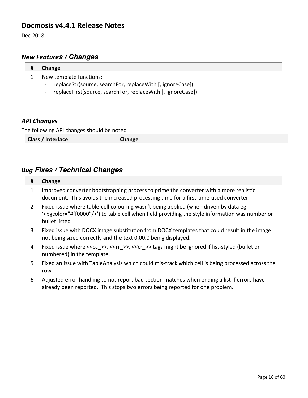#### **Docmosis v4.4.1 Release Notes**

Dec 2018

## *New Features / Changes*

| # | Change                                                                                                                                                                                            |
|---|---------------------------------------------------------------------------------------------------------------------------------------------------------------------------------------------------|
|   | New template functions:<br>replaceStr(source, searchFor, replaceWith [, ignoreCase])<br>$\blacksquare$<br>replaceFirst(source, searchFor, replaceWith [, ignoreCase])<br>$\overline{\phantom{a}}$ |

### *API Changes*

The following API changes should be noted

| -<br><b>Class / Interface</b> | Change |
|-------------------------------|--------|
|                               |        |

| #              | Change                                                                                                                                                                                                                      |
|----------------|-----------------------------------------------------------------------------------------------------------------------------------------------------------------------------------------------------------------------------|
| 1              | Improved converter bootstrapping process to prime the converter with a more realistic<br>document. This avoids the increased processing time for a first-time-used converter.                                               |
| $\overline{2}$ | Fixed issue where table-cell colouring wasn't being applied (when driven by data eg<br>' <bgcolor="#ff0000"></bgcolor="#ff0000"> ') to table cell when field providing the style information was number or<br>bullet listed |
| 3              | Fixed issue with DOCX image substitution from DOCX templates that could result in the image<br>not being sized correctly and the text 0.00.0 being displayed.                                                               |
| 4              | Fixed issue where $<<$ cc >>, $<<$ rr >>, $<<$ cr >> tags might be ignored if list-styled (bullet or<br>numbered) in the template.                                                                                          |
| 5              | Fixed an issue with TableAnalysis which could mis-track which cell is being processed across the<br>row.                                                                                                                    |
| 6              | Adjusted error handling to not report bad section matches when ending a list if errors have<br>already been reported. This stops two errors being reported for one problem.                                                 |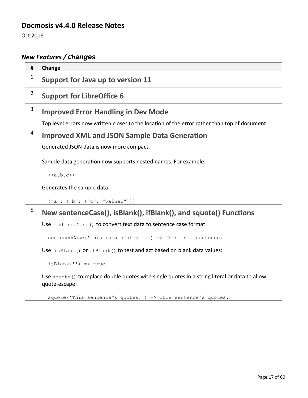### **Docmosis v4.4.0 Release Notes**

Oct 2018

# *New Features / Changes*

| #              | Change                                                                                                          |
|----------------|-----------------------------------------------------------------------------------------------------------------|
| $\mathbf{1}$   | Support for Java up to version 11                                                                               |
| $\overline{2}$ | <b>Support for LibreOffice 6</b>                                                                                |
| 3              | <b>Improved Error Handling in Dev Mode</b>                                                                      |
|                | Top level errors now written closer to the location of the error rather than top of document.                   |
| $\overline{4}$ | <b>Improved XML and JSON Sample Data Generation</b>                                                             |
|                | Generated JSON data is now more compact.                                                                        |
|                | Sample data generation now supports nested names. For example:                                                  |
|                | < <a.b.c>&gt;</a.b.c>                                                                                           |
|                | Generates the sample data:                                                                                      |
|                | ${\n \lceil "a": { "b": { "c": "valuel"} } \rceil }$                                                            |
| 5              | New sentenceCase(), isBlank(), ifBlank(), and squote() Functions                                                |
|                | Use sentenceCase () to convert text data to sentence case format:                                               |
|                | sentenceCase('this is a sentence.') => This is a sentence.                                                      |
|                | Use isBlank() or ifBlank() to test and act based on blank data values:                                          |
|                | $isBlank('') \Rightarrow true$                                                                                  |
|                | Use squote () to replace double quotes with single quotes in a string literal or data to allow<br>quote-escape: |
|                | squote ('This sentence"s quotes.') => This sentence's quotes.                                                   |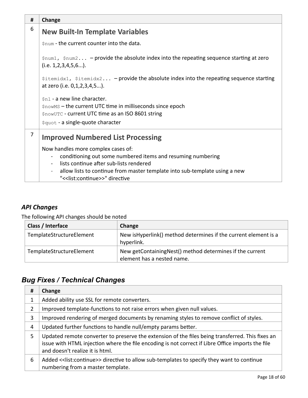| Change                                                                                                                                                      |  |
|-------------------------------------------------------------------------------------------------------------------------------------------------------------|--|
| <b>New Built-In Template Variables</b>                                                                                                                      |  |
| \$num - the current counter into the data.                                                                                                                  |  |
| $\frac{1}{2}$ snum1, $\frac{2}{2}$ snum2 – provide the absolute index into the repeating sequence starting at zero<br>$(i.e. 1, 2, 3, 4, 5, 6)$ .           |  |
| $$itemidx1, $itemidx2 - provide the absolute index into the repeating sequence starting$<br>at zero (i.e. 0, 1, 2, 3, 4, 5).                                |  |
| \$n1 - a new line character.                                                                                                                                |  |
| \$nowMS - the current UTC time in milliseconds since epoch                                                                                                  |  |
| \$nowUTC - current UTC time as an ISO 8601 string                                                                                                           |  |
| \$quot - a single-quote character                                                                                                                           |  |
| <b>Improved Numbered List Processing</b>                                                                                                                    |  |
| Now handles more complex cases of:                                                                                                                          |  |
| conditioning out some numbered items and resuming numbering<br>$\blacksquare$                                                                               |  |
| lists continue after sub-lists rendered                                                                                                                     |  |
| allow lists to continue from master template into sub-template using a new<br>$\overline{\phantom{a}}$<br>"< <list:continue>&gt;" directive</list:continue> |  |
|                                                                                                                                                             |  |

The following API changes should be noted

| Class / Interface        | Change                                                                                 |
|--------------------------|----------------------------------------------------------------------------------------|
| TemplateStructureElement | New isHyperlink() method determines if the current element is a<br>hyperlink.          |
| TemplateStructureElement | New getContainingNest() method determines if the current<br>element has a nested name. |

| #  | Change                                                                                                                                                                                                                                   |
|----|------------------------------------------------------------------------------------------------------------------------------------------------------------------------------------------------------------------------------------------|
| T. | Added ability use SSL for remote converters.                                                                                                                                                                                             |
| 2  | Improved template-functions to not raise errors when given null values.                                                                                                                                                                  |
| 3  | Improved rendering of merged documents by renaming styles to remove conflict of styles.                                                                                                                                                  |
| 4  | Updated further functions to handle null/empty params better.                                                                                                                                                                            |
| 5. | Updated remote converter to preserve the extension of the files being transferred. This fixes an<br>issue with HTML injection where the file encoding is not correct if Libre Office imports the file<br>and doesn't realize it is html. |
| 6  | Added << list: continue>> directive to allow sub-templates to specify they want to continue<br>numbering from a master template.                                                                                                         |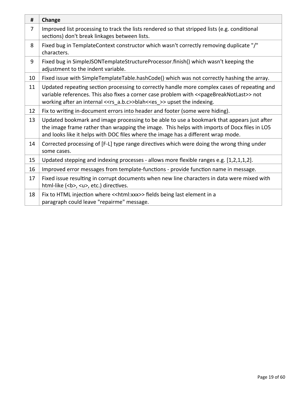| #              | Change                                                                                                                                                                                                                                                                                       |
|----------------|----------------------------------------------------------------------------------------------------------------------------------------------------------------------------------------------------------------------------------------------------------------------------------------------|
| $\overline{7}$ | Improved list processing to track the lists rendered so that stripped lists (e.g. conditional<br>sections) don't break linkages between lists.                                                                                                                                               |
| 8              | Fixed bug in TemplateContext constructor which wasn't correctly removing duplicate "/"<br>characters.                                                                                                                                                                                        |
| 9              | Fixed bug in SimpleJSONTemplateStructureProcessor.finish() which wasn't keeping the<br>adjustment to the indent variable.                                                                                                                                                                    |
| 10             | Fixed issue with SimpleTemplateTable.hashCode() which was not correctly hashing the array.                                                                                                                                                                                                   |
| 11             | Updated repeating section processing to correctly handle more complex cases of repeating and<br>variable references. This also fixes a corner case problem with << pageBreakNotLast>> not<br>working after an internal < <rs_a.b.c>&gt;blah&lt;<es_>&gt;upset the indexing.</es_></rs_a.b.c> |
| 12             | Fix to writing in-document errors into header and footer (some were hiding).                                                                                                                                                                                                                 |
| 13             | Updated bookmark and image processing to be able to use a bookmark that appears just after<br>the image frame rather than wrapping the image. This helps with imports of Docx files in LO5<br>and looks like it helps with DOC files where the image has a different wrap mode.              |
| 14             | Corrected processing of [F-L] type range directives which were doing the wrong thing under<br>some cases.                                                                                                                                                                                    |
| 15             | Updated stepping and indexing processes - allows more flexible ranges e.g. [1,2,1,1,2].                                                                                                                                                                                                      |
| 16             | Improved error messages from template-functions - provide function name in message.                                                                                                                                                                                                          |
| 17             | Fixed issue resulting in corrupt documents when new line characters in data were mixed with<br>html-like ( <b>, <u>, etc.) directives.</u></b>                                                                                                                                               |
| 18             | Fix to HTML injection where << html: xxx>> fields being last element in a<br>paragraph could leave "repairme" message.                                                                                                                                                                       |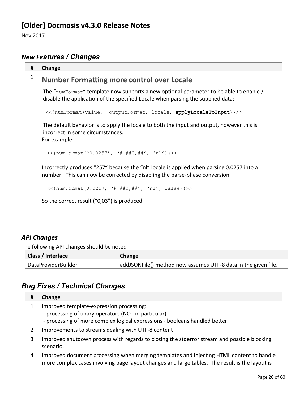# **[Older] Docmosis v4.3.0 Release Notes**

Nov 2017

## *New Features / Changes*

| # | Change                                                                                                                                                                   |
|---|--------------------------------------------------------------------------------------------------------------------------------------------------------------------------|
| 1 | <b>Number Formatting more control over Locale</b>                                                                                                                        |
|   | The "numFormat" template now supports a new optional parameter to be able to enable /<br>disable the application of the specified Locale when parsing the supplied data: |
|   |                                                                                                                                                                          |
|   | The default behavior is to apply the locale to both the input and output, however this is<br>incorrect in some circumstances.<br>For example:                            |
|   | $<<$ {numFormat('0.0257', '#.##0,##', 'nl')}>>                                                                                                                           |
|   | Incorrectly produces "257" because the "nl" locale is applied when parsing 0.0257 into a<br>number. This can now be corrected by disabling the parse-phase conversion:   |
|   | $<<$ {numFormat(0.0257, '#.##0,##', 'nl', false)}>>                                                                                                                      |
|   | So the correct result ("0,03") is produced.                                                                                                                              |

#### *API Changes*

The following API changes should be noted

| Class / Interface   | Change                                                         |
|---------------------|----------------------------------------------------------------|
| DataProviderBuilder | addJSONFile() method now assumes UTF-8 data in the given file. |

| # | Change                                                                                                                                                                                     |
|---|--------------------------------------------------------------------------------------------------------------------------------------------------------------------------------------------|
|   | Improved template-expression processing:<br>- processing of unary operators (NOT in particular)<br>- processing of more complex logical expressions - booleans handled better.             |
|   | Improvements to streams dealing with UTF-8 content                                                                                                                                         |
| 3 | Improved shutdown process with regards to closing the stderror stream and possible blocking<br>scenario.                                                                                   |
| 4 | Improved document processing when merging templates and injecting HTML content to handle<br>more complex cases involving page layout changes and large tables. The result is the layout is |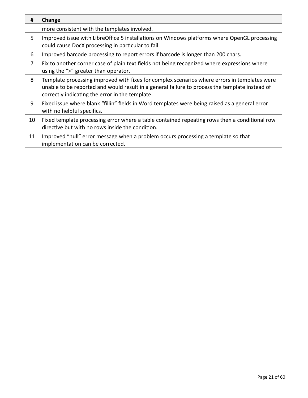| #  | Change                                                                                                                                                                                                                                            |
|----|---------------------------------------------------------------------------------------------------------------------------------------------------------------------------------------------------------------------------------------------------|
|    | more consistent with the templates involved.                                                                                                                                                                                                      |
| 5. | Improved issue with LibreOffice 5 installations on Windows platforms where OpenGL processing<br>could cause DocX processing in particular to fail.                                                                                                |
| 6  | Improved barcode processing to report errors if barcode is longer than 200 chars.                                                                                                                                                                 |
| 7  | Fix to another corner case of plain text fields not being recognized where expressions where<br>using the ">" greater than operator.                                                                                                              |
| 8  | Template processing improved with fixes for complex scenarios where errors in templates were<br>unable to be reported and would result in a general failure to process the template instead of<br>correctly indicating the error in the template. |
| 9  | Fixed issue where blank "fillin" fields in Word templates were being raised as a general error<br>with no helpful specifics.                                                                                                                      |
| 10 | Fixed template processing error where a table contained repeating rows then a conditional row<br>directive but with no rows inside the condition.                                                                                                 |
| 11 | Improved "null" error message when a problem occurs processing a template so that<br>implementation can be corrected.                                                                                                                             |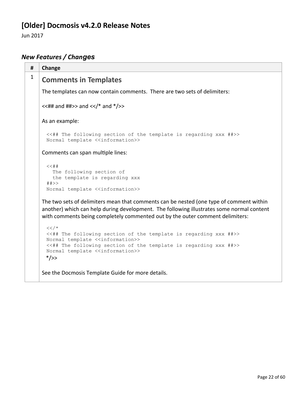# **[Older] Docmosis v4.2.0 Release Notes**

Jun 2017

# *New Features / Changes*

| #            | Change                                                                                                                                                                                                                                                                                                |
|--------------|-------------------------------------------------------------------------------------------------------------------------------------------------------------------------------------------------------------------------------------------------------------------------------------------------------|
| $\mathbf{1}$ | <b>Comments in Templates</b>                                                                                                                                                                                                                                                                          |
|              | The templates can now contain comments. There are two sets of delimiters:                                                                                                                                                                                                                             |
|              | $<<$ ## and ##>> and $<<$ /* and */>>                                                                                                                                                                                                                                                                 |
|              | As an example:                                                                                                                                                                                                                                                                                        |
|              | <<## The following section of the template is regarding xxx ##>><br>Normal template < <information>&gt;</information>                                                                                                                                                                                 |
|              | Comments can span multiple lines:                                                                                                                                                                                                                                                                     |
|              | $<<$ ##<br>The following section of<br>the template is regarding xxx<br>##>><br>Normal template < <information>&gt;</information>                                                                                                                                                                     |
|              | The two sets of delimiters mean that comments can be nested (one type of comment within<br>another) which can help during development. The following illustrates some normal content<br>with comments being completely commented out by the outer comment delimiters:                                 |
|              | $<<$ /*<br><<## The following section of the template is regarding xxx ##>><br>Normal template < <information>&gt;<br/>&lt;&lt;## The following section of the template is regarding xxx ##&gt;&gt;<br/>Normal template &lt;<information>&gt;<br/><math>*/&gt;&gt;</math></information></information> |

See the Docmosis Template Guide for more details.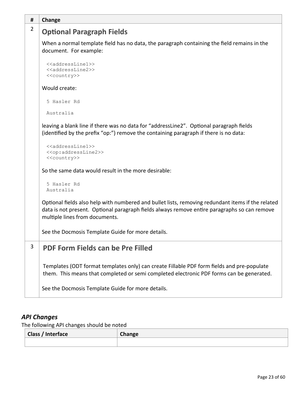| #              | Change                                                                                                                                                                                                                              |  |
|----------------|-------------------------------------------------------------------------------------------------------------------------------------------------------------------------------------------------------------------------------------|--|
| $\overline{2}$ | <b>Optional Paragraph Fields</b>                                                                                                                                                                                                    |  |
|                | When a normal template field has no data, the paragraph containing the field remains in the<br>document. For example:                                                                                                               |  |
|                | < <addressline1>&gt;<br/>&lt;<addressline2>&gt;<br/>&lt;<country>&gt;</country></addressline2></addressline1>                                                                                                                       |  |
|                | Would create:                                                                                                                                                                                                                       |  |
|                | 5 Hasler Rd                                                                                                                                                                                                                         |  |
|                | Australia                                                                                                                                                                                                                           |  |
|                | leaving a blank line if there was no data for "addressLine2". Optional paragraph fields<br>(identified by the prefix "op:") remove the containing paragraph if there is no data:                                                    |  |
|                | < <addressline1>&gt;<br/>&lt;<op:addressline2>&gt;<br/>&lt;<country>&gt;</country></op:addressline2></addressline1>                                                                                                                 |  |
|                | So the same data would result in the more desirable:                                                                                                                                                                                |  |
|                | 5 Hasler Rd<br>Australia                                                                                                                                                                                                            |  |
|                | Optional fields also help with numbered and bullet lists, removing redundant items if the related<br>data is not present. Optional paragraph fields always remove entire paragraphs so can remove<br>multiple lines from documents. |  |
|                | See the Docmosis Template Guide for more details.                                                                                                                                                                                   |  |
| 3              | PDF Form Fields can be Pre Filled                                                                                                                                                                                                   |  |
|                | Templates (ODT format templates only) can create Fillable PDF form fields and pre-populate<br>them. This means that completed or semi completed electronic PDF forms can be generated.                                              |  |
|                | See the Docmosis Template Guide for more details.                                                                                                                                                                                   |  |

The following API changes should be noted

| <b>Class / Interface</b> | Change |
|--------------------------|--------|
|                          |        |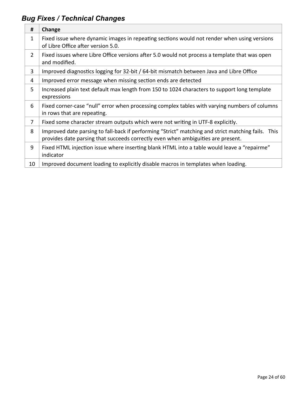| #              | Change                                                                                                                                                                                 |
|----------------|----------------------------------------------------------------------------------------------------------------------------------------------------------------------------------------|
| $\mathbf{1}$   | Fixed issue where dynamic images in repeating sections would not render when using versions<br>of Libre Office after version 5.0.                                                      |
| $\overline{2}$ | Fixed issues where Libre Office versions after 5.0 would not process a template that was open<br>and modified.                                                                         |
| 3              | Improved diagnostics logging for 32-bit / 64-bit mismatch between Java and Libre Office                                                                                                |
| 4              | Improved error message when missing section ends are detected                                                                                                                          |
| 5              | Increased plain text default max length from 150 to 1024 characters to support long template<br>expressions                                                                            |
| 6              | Fixed corner-case "null" error when processing complex tables with varying numbers of columns<br>in rows that are repeating.                                                           |
| $\overline{7}$ | Fixed some character stream outputs which were not writing in UTF-8 explicitly.                                                                                                        |
| 8              | Improved date parsing to fall-back if performing "Strict" matching and strict matching fails. This<br>provides date parsing that succeeds correctly even when ambiguities are present. |
| 9              | Fixed HTML injection issue where inserting blank HTML into a table would leave a "repairme"<br>indicator                                                                               |
| 10             | Improved document loading to explicitly disable macros in templates when loading.                                                                                                      |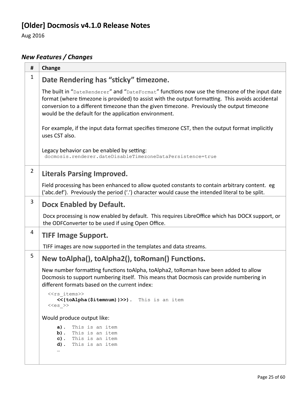# **[Older] Docmosis v4.1.0 Release Notes**

Aug 2016

# *New Features / Changes*

| #              | Change                                                                                                                                                                                                                                                                                                                                                   |
|----------------|----------------------------------------------------------------------------------------------------------------------------------------------------------------------------------------------------------------------------------------------------------------------------------------------------------------------------------------------------------|
| $\mathbf{1}$   | Date Rendering has "sticky" timezone.                                                                                                                                                                                                                                                                                                                    |
|                | The built in "DateRenderer" and "DateFormat" functions now use the timezone of the input date<br>format (where timezone is provided) to assist with the output formatting. This avoids accidental<br>conversion to a different timezone than the given timezone. Previously the output timezone<br>would be the default for the application environment. |
|                | For example, if the input data format specifies timezone CST, then the output format implicitly<br>uses CST also.                                                                                                                                                                                                                                        |
|                | Legacy behavior can be enabled by setting:<br>docmosis.renderer.dateDisableTimezoneDataPersistence=true                                                                                                                                                                                                                                                  |
| $\overline{2}$ | <b>Literals Parsing Improved.</b>                                                                                                                                                                                                                                                                                                                        |
|                | Field processing has been enhanced to allow quoted constants to contain arbitrary content. eg<br>('abc.def'). Previously the period ('.') character would cause the intended literal to be split.                                                                                                                                                        |
| 3              | Docx Enabled by Default.                                                                                                                                                                                                                                                                                                                                 |
|                | Docx processing is now enabled by default. This requires LibreOffice which has DOCX support, or<br>the ODFConverter to be used if using Open Office.                                                                                                                                                                                                     |
| 4              | <b>TIFF Image Support.</b>                                                                                                                                                                                                                                                                                                                               |
|                | TIFF images are now supported in the templates and data streams.                                                                                                                                                                                                                                                                                         |
| 5              | New toAlpha(), toAlpha2(), toRoman() Functions.                                                                                                                                                                                                                                                                                                          |
|                | New number formatting functions toAlpha, toAlpha2, toRoman have been added to allow<br>Docmosis to support numbering itself. This means that Docmosis can provide numbering in<br>different formats based on the current index:                                                                                                                          |
|                | < <rs items="">&gt;<br/>&lt;&lt;{toAlpha(\$itemnum) }&gt;&gt;). This is an item<br/><math>&lt;<es< math=""> &gt;&gt;</es<></math></rs>                                                                                                                                                                                                                   |
|                | Would produce output like:                                                                                                                                                                                                                                                                                                                               |
|                | This is an item<br>a).<br>b). This is an item<br>c). This is an item<br>d). This is an item                                                                                                                                                                                                                                                              |
|                |                                                                                                                                                                                                                                                                                                                                                          |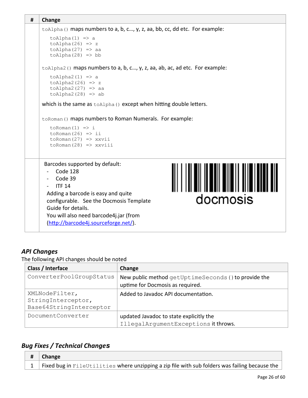```
# Change
toAlpha() maps numbers to a, b, c..., y, z, aa, bb, cc, dd etc. For example:
   toAlpha(1) => a
   toAlpha(26) => z
   toAlpha(27) => aa
   toAlpha(28) => bb
toAlpha2() maps numbers to a, b, c…, y, z, aa, ab, ac, ad etc. For example:
   toAlpha2(1) => a
   toAlpha2(26) => z
   toAlpha2(27) => aa
   toAlpha2(28) => ab
which is the same as toAlpha() except when hitting double letters.
toRoman() maps numbers to Roman Numerals. For example:
   toRoman(1) => i
   toRoman(26) => ii
   toRoman(27) => xxvii
   toRoman(28) => xxviii
 Barcodes supported by default:
 - Code 128
 - Code 39
 - ITF 14
 Adding a barcode is easy and quite 
                                                         docmosis
 configurable. See the Docmosis Template 
 Guide for details.
 You will also need barcode4j.jar (from 
 (http://barcode4j.sourceforge.net/).
```
The following API changes should be noted

| Class / Interface                                               | Change                                                                                   |
|-----------------------------------------------------------------|------------------------------------------------------------------------------------------|
| ConverterPoolGroupStatus                                        | New public method getUptimeSeconds () to provide the<br>uptime for Docmosis as required. |
| XMLNodeFilter,<br>StringInterceptor,<br>Base64StringInterceptor | Added to Javadoc API documentation.                                                      |
| DocumentConverter                                               | updated Javadoc to state explicitly the<br>IllegalArgumentExceptions it throws.          |

| Change                                                                                         |
|------------------------------------------------------------------------------------------------|
| Fixed bug in FileUtilities where unzipping a zip file with sub folders was failing because the |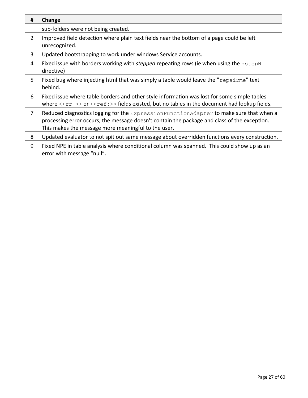| #              | Change                                                                                                                                                                                                                                           |  |  |  |  |
|----------------|--------------------------------------------------------------------------------------------------------------------------------------------------------------------------------------------------------------------------------------------------|--|--|--|--|
|                | sub-folders were not being created.                                                                                                                                                                                                              |  |  |  |  |
| $\overline{2}$ | Improved field detection where plain text fields near the bottom of a page could be left<br>unrecognized.                                                                                                                                        |  |  |  |  |
| 3              | Updated bootstrapping to work under windows Service accounts.                                                                                                                                                                                    |  |  |  |  |
| 4              | Fixed issue with borders working with <i>stepped</i> repeating rows (ie when using the : stepN<br>directive)                                                                                                                                     |  |  |  |  |
| 5              | Fixed bug where injecting html that was simply a table would leave the " $\epsilon$ repairme" text<br>behind.                                                                                                                                    |  |  |  |  |
| 6              | Fixed issue where table borders and other style information was lost for some simple tables<br>where $\langle \langle r \rangle$ $>$ or $\langle \langle r \rangle$ = $\rangle$ fields existed, but no tables in the document had lookup fields. |  |  |  |  |
| 7              | Reduced diagnostics logging for the ExpressionFunctionAdapter to make sure that when a<br>processing error occurs, the message doesn't contain the package and class of the exception.<br>This makes the message more meaningful to the user.    |  |  |  |  |
| 8              | Updated evaluator to not spit out same message about overridden functions every construction.                                                                                                                                                    |  |  |  |  |
| 9              | Fixed NPE in table analysis where conditional column was spanned. This could show up as an<br>error with message "null".                                                                                                                         |  |  |  |  |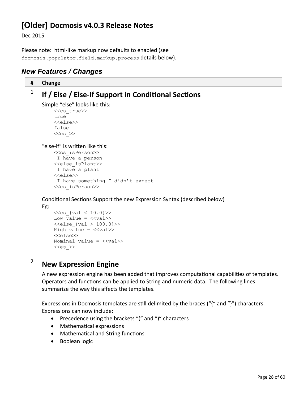# **[Older] Docmosis v4.0.3 Release Notes**

Dec 2015

Please note: html-like markup now defaults to enabled (see docmosis.populator.field.markup.process details below).

#### *New Features / Changes*

**# Change** 1 **If / Else / Else-If Support in Conditional Sections** Simple "else" looks like this: <<cs\_true>> true <<else>> false  $<  $>>$$ "else-if" is written like this: <<cs\_isPerson>> I have a person <<else\_isPlant>> I have a plant <<else>> I have something I didn't expect <<es\_isPerson>> Conditional Sections Support the new Expression Syntax (described below) Eg:  $<<$ cs {val < 10.0}>> Low value =  $\langle \langle val \rangle \rangle$  $\langle$  <else {val > 100.0}>> High value =  $\langle \langle \text{val} \rangle \rangle$ <<else>> Nominal value = <<val>>  $<  $>>$$ <sup>2</sup> **New Expression Engine** A new expression engine has been added that improves computational capabilities of templates. Operators and functions can be applied to String and numeric data. The following lines summarize the way this affects the templates. Expressions in Docmosis templates are still delimited by the braces ("{" and "}") characters. Expressions can now include: • Precedence using the brackets "(" and ")" characters Mathematical expressions • Mathematical and String functions • Boolean logic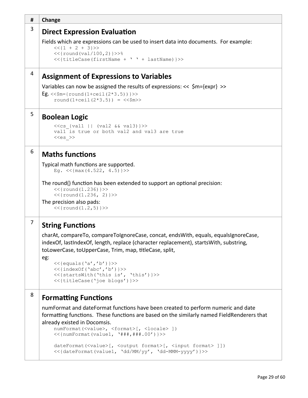| #              | Change                                                                                                                                                                                                                                                                                                                                                    |  |  |  |  |
|----------------|-----------------------------------------------------------------------------------------------------------------------------------------------------------------------------------------------------------------------------------------------------------------------------------------------------------------------------------------------------------|--|--|--|--|
| 3              | <b>Direct Expression Evaluation</b>                                                                                                                                                                                                                                                                                                                       |  |  |  |  |
|                | Fields which are expressions can be used to insert data into documents. For example:<br>$<<$ {1 + 2 + 3}>><br>$<<$ {round(val/100,2)}>>%<br><<{titleCase(firstName + ' ' + lastName) }>>                                                                                                                                                                  |  |  |  |  |
| 4              | <b>Assignment of Expressions to Variables</b>                                                                                                                                                                                                                                                                                                             |  |  |  |  |
|                | Variables can now be assigned the results of expressions: $<<$ \$m={expr} >><br>Eg. << $$m = {round(1+ceil(2*3.5))}>>$<br>round $(1+ceil(2*3.5)) = \langle \langle \text{Sm} \rangle \rangle$                                                                                                                                                             |  |  |  |  |
| 5              | <b>Boolean Logic</b>                                                                                                                                                                                                                                                                                                                                      |  |  |  |  |
|                | $<<$ cs {val1    (val2 && val3)}>><br>vall is true or both val2 and val3 are true<br>$< >>$                                                                                                                                                                                                                                                               |  |  |  |  |
| 6              | <b>Maths functions</b>                                                                                                                                                                                                                                                                                                                                    |  |  |  |  |
|                | Typical math functions are supported.<br>Eg. $<<$ {max(4.522, 4.5)}>>                                                                                                                                                                                                                                                                                     |  |  |  |  |
|                | The round() function has been extended to support an optional precision:<br>$<<$ {round(1.236)}>><br>$<<$ {round(1.236, 2)}>>                                                                                                                                                                                                                             |  |  |  |  |
|                | The precision also pads:<br>$<<$ {round(1.2,5)}>>                                                                                                                                                                                                                                                                                                         |  |  |  |  |
| $\overline{7}$ | <b>String Functions</b>                                                                                                                                                                                                                                                                                                                                   |  |  |  |  |
|                | charAt, compareTo, compareToIgnoreCase, concat, endsWith, equals, equalsIgnoreCase,<br>indexOf, lastIndexOf, length, replace (character replacement), startsWith, substring,<br>toLowerCase, toUpperCase, Trim, map, titleCase, split,<br>eg:                                                                                                             |  |  |  |  |
|                | $<<$ {equals('a','b')}>><br>$<<$ {indexOf('abc','b')}>><br><<{startsWith('this is', 'this')}>><br><<{titleCase('joe blogs')}>>                                                                                                                                                                                                                            |  |  |  |  |
| 8              | <b>Formatting Functions</b>                                                                                                                                                                                                                                                                                                                               |  |  |  |  |
|                | numFormat and dateFormat functions have been created to perform numeric and date<br>formatting functions. These functions are based on the similarly named FieldRenderers that<br>already existed in Docomsis.<br>numFormat( <value>, <format>[, <locale> ])<br/><math>&lt;&lt;</math>{numFormat(value1, '###,###.00')}&gt;&gt;</locale></format></value> |  |  |  |  |
|                | dateFormat( <value>[, <output format="">[, <input format=""/> ]])</output></value>                                                                                                                                                                                                                                                                        |  |  |  |  |

```
<<{dateFormat(value1, 'dd/MM/yy', 'dd-MMM-yyyy')}>>
```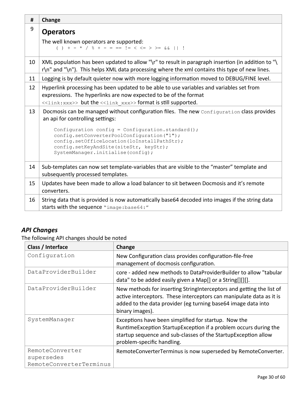| #  | Change                                                                                                                                                                                             |  |  |  |  |
|----|----------------------------------------------------------------------------------------------------------------------------------------------------------------------------------------------------|--|--|--|--|
| 9  | <b>Operators</b>                                                                                                                                                                                   |  |  |  |  |
|    | The well known operators are supported:<br>( ) + - * / $\frac{6}{9}$ + - = == != < <= > >= $\frac{6}{9}$                                                                                           |  |  |  |  |
| 10 | XML population has been updated to allow "\r" to result in paragraph insertion (in addition to "\<br>r\n" and "\n"). This helps XML data processing where the xml contains this type of new lines. |  |  |  |  |
| 11 | Logging is by default quieter now with more logging information moved to DEBUG/FINE level.                                                                                                         |  |  |  |  |
| 12 | Hyperlink processing has been updated to be able to use variables and variables set from<br>expressions. The hyperlinks are now expected to be of the format                                       |  |  |  |  |
|    | < <link:xxx>&gt; but the &lt;<link xxx=""/>&gt; format is still supported.</link:xxx>                                                                                                              |  |  |  |  |
| 13 | Docmosis can be managed without configuration files. The new Configuration class provides                                                                                                          |  |  |  |  |
|    | an api for controlling settings:                                                                                                                                                                   |  |  |  |  |
|    | Configuration config = Configuration.standard();                                                                                                                                                   |  |  |  |  |
|    | config.setConverterPoolConfiguration("1");                                                                                                                                                         |  |  |  |  |
|    | config.setOfficeLocation(loInstallPathStr);<br>config.setKeyAndSite(siteStr, keyStr);                                                                                                              |  |  |  |  |
|    | SystemManager.initialise(config);                                                                                                                                                                  |  |  |  |  |
| 14 | Sub-templates can now set template-variables that are visible to the "master" template and<br>subsequently processed templates.                                                                    |  |  |  |  |
| 15 | Updates have been made to allow a load balancer to sit between Docmosis and it's remote<br>converters.                                                                                             |  |  |  |  |
| 16 | String data that is provided is now automatically base64 decoded into images if the string data<br>starts with the sequence "image: base64:"                                                       |  |  |  |  |

The following API changes should be noted

| Class / Interface                                        | Change                                                                                                                                                                                                                           |  |  |
|----------------------------------------------------------|----------------------------------------------------------------------------------------------------------------------------------------------------------------------------------------------------------------------------------|--|--|
| Configuration                                            | New Configuration class provides configuration-file-free<br>management of docmosis configuration.                                                                                                                                |  |  |
| DataProviderBuilder                                      | core - added new methods to DataProviderBuilder to allow "tabular<br>data" to be added easily given a Map[] or a String[][][].                                                                                                   |  |  |
| DataProviderBuilder                                      | New methods for inserting StringInterceptors and getting the list of<br>active interceptors. These interceptors can manipulate data as it is<br>added to the data provider (eg turning base64 image data into<br>binary images). |  |  |
| SystemManager                                            | Exceptions have been simplified for startup. Now the<br>Runtime Exception Startup Exception if a problem occurs during the<br>startup sequence and sub-classes of the Startup Exception allow<br>problem-specific handling.      |  |  |
| RemoteConverter<br>supersedes<br>RemoteConverterTerminus | RemoteConverterTerminus is now superseded by RemoteConverter.                                                                                                                                                                    |  |  |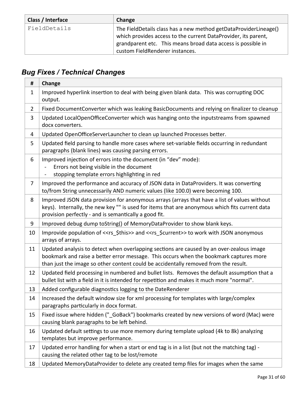| Class / Interface | Change                                                                                                                                                                                                                                |  |  |
|-------------------|---------------------------------------------------------------------------------------------------------------------------------------------------------------------------------------------------------------------------------------|--|--|
| FieldDetails      | The FieldDetails class has a new method getDataProviderLineage()<br>which provides access to the current DataProvider, its parent,<br>grandparent etc. This means broad data access is possible in<br>custom FieldRenderer instances. |  |  |

| #              | Change                                                                                                                                                                                                                                                                    |  |  |  |  |
|----------------|---------------------------------------------------------------------------------------------------------------------------------------------------------------------------------------------------------------------------------------------------------------------------|--|--|--|--|
| $\mathbf{1}$   | Improved hyperlink insertion to deal with being given blank data. This was corrupting DOC<br>output.                                                                                                                                                                      |  |  |  |  |
| $\overline{2}$ | Fixed DocumentConverter which was leaking BasicDocuments and relying on finalizer to cleanup                                                                                                                                                                              |  |  |  |  |
| 3              | Updated LocalOpenOfficeConverter which was hanging onto the inputstreams from spawned<br>docx converters.                                                                                                                                                                 |  |  |  |  |
| 4              | Updated OpenOfficeServerLauncher to clean up launched Processes better.                                                                                                                                                                                                   |  |  |  |  |
| 5              | Updated field parsing to handle more cases where set-variable fields occurring in redundant<br>paragraphs (blank lines) was causing parsing errors.                                                                                                                       |  |  |  |  |
| 6              | Improved injection of errors into the document (in "dev" mode):<br>Errors not being visible in the document<br>stopping template errors highlighting in red                                                                                                               |  |  |  |  |
| $\overline{7}$ | Improved the performance and accuracy of JSON data in DataProviders. It was converting<br>to/from String unnecessarily AND numeric values (like 100.0) were becoming 100.                                                                                                 |  |  |  |  |
| 8              | Improved JSON data provision for anonymous arrays (arrays that have a list of values without<br>keys). Internally, the new key "" is used for items that are anonymous which fits current data<br>provision perfectly - and is semantically a good fit.                   |  |  |  |  |
| 9              | Improved debug dump toString() of MemoryDataProvider to show blank keys.                                                                                                                                                                                                  |  |  |  |  |
| 10             | Improvide population of < <rs_\$this>&gt; and &lt;<rs_\$current>&gt; to work with JSON anonymous<br/>arrays of arrays.</rs_\$current></rs_\$this>                                                                                                                         |  |  |  |  |
| 11             | Updated analysis to detect when overlapping sections are caused by an over-zealous image<br>bookmark and raise a better error message. This occurs when the bookmark captures more<br>than just the image so other content could be accidentally removed from the result. |  |  |  |  |
| 12             | Updated field processing in numbered and bullet lists. Removes the default assumption that a<br>bullet list with a field in it is intended for repetition and makes it much more "normal".                                                                                |  |  |  |  |
| 13             | Added configurable diagnostics logging to the DateRenderer                                                                                                                                                                                                                |  |  |  |  |
| 14             | Increased the default window size for xml processing for templates with large/complex<br>paragraphs particularly in docx format.                                                                                                                                          |  |  |  |  |
| 15             | Fixed issue where hidden ("GoBack") bookmarks created by new versions of word (Mac) were<br>causing blank paragraphs to be left behind.                                                                                                                                   |  |  |  |  |
| 16             | Updated default settings to use more memory during template upload (4k to 8k) analyzing<br>templates but improve performance.                                                                                                                                             |  |  |  |  |
| 17             | Updated error handling for when a start or end tag is in a list (but not the matching tag) -<br>causing the related other tag to be lost/remote                                                                                                                           |  |  |  |  |
| 18             | Updated MemoryDataProvider to delete any created temp files for images when the same                                                                                                                                                                                      |  |  |  |  |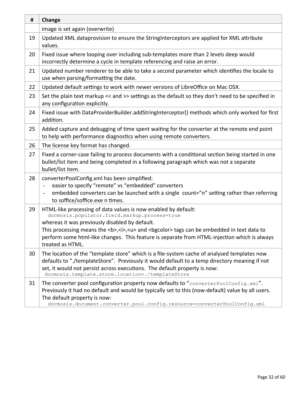| #  | Change                                                                                                                                                                                                                                                                                                                                                                                                  |  |  |  |  |
|----|---------------------------------------------------------------------------------------------------------------------------------------------------------------------------------------------------------------------------------------------------------------------------------------------------------------------------------------------------------------------------------------------------------|--|--|--|--|
|    | image is set again (overwrite)                                                                                                                                                                                                                                                                                                                                                                          |  |  |  |  |
| 19 | Updated XML dataprovision to ensure the StringInterceptors are applied for XML attribute<br>values.                                                                                                                                                                                                                                                                                                     |  |  |  |  |
| 20 | Fixed issue where looping over including sub-templates more than 2 levels deep would<br>incorrectly determine a cycle in template referencing and raise an error.                                                                                                                                                                                                                                       |  |  |  |  |
| 21 | Updated number renderer to be able to take a second parameter which identifies the locale to<br>use when parsing/formatting the date.                                                                                                                                                                                                                                                                   |  |  |  |  |
| 22 | Updated default settings to work with newer versions of LibreOffice on Mac OSX.                                                                                                                                                                                                                                                                                                                         |  |  |  |  |
| 23 | Set the plain text markup << and >> settings as the default so they don't need to be specified in<br>any configuration explicitly.                                                                                                                                                                                                                                                                      |  |  |  |  |
| 24 | Fixed issue with DataProviderBuilder.addStringInterceptor() methods which only worked for first<br>addition.                                                                                                                                                                                                                                                                                            |  |  |  |  |
| 25 | Added capture and debugging of time spent waiting for the converter at the remote end point<br>to help with performance diagnostics when using remote converters.                                                                                                                                                                                                                                       |  |  |  |  |
| 26 | The license key format has changed.                                                                                                                                                                                                                                                                                                                                                                     |  |  |  |  |
| 27 | Fixed a corner-case failing to process documents with a conditional section being started in one<br>bullet/list item and being completed in a following paragraph which was not a separate<br>bullet/list item.                                                                                                                                                                                         |  |  |  |  |
| 28 | converterPoolConfig.xml has been simplified:<br>easier to specify "remote" vs "embedded" converters<br>embedded converters can be launched with a single count="n" setting rather than referring<br>to soffice/soffice.exe n times.                                                                                                                                                                     |  |  |  |  |
| 29 | HTML-like processing of data values is now enabled by default:<br>docmosis.populator.field.markup.process=true<br>whereas it was previously disabled by default.<br>This processing means the <b>,<i>,<u> and <bp>color&gt; tags can be embedded in text data to<br/>perform some html-like changes. This feature is separate from HTML-injection which is always<br/>treated as HTML.</bp></u></i></b> |  |  |  |  |
| 30 | The location of the "template store" which is a file-system cache of analysed templates now<br>defaults to "./templateStore". Previously it would default to a temp directory meaning if not<br>set, it would not persist across executions. The default property is now:<br>docmosis.template.store.location=./templateStore                                                                           |  |  |  |  |
| 31 | The converter pool configuration property now defaults to "converterPoolConfig.xml".<br>Previously it had no default and would be typically set to this (now-default) value by all users.<br>The default property is now:<br>docmosis.document.converter.pool.config.resource=converterPoolConfig.xml                                                                                                   |  |  |  |  |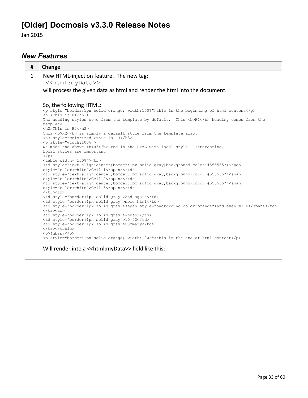# **[Older] Docmosis v3.3.0 Release Notes**

Jan 2015

### *New Features*

| #            | Change                                                                                                                                                                |                                                            |         |  |  |
|--------------|-----------------------------------------------------------------------------------------------------------------------------------------------------------------------|------------------------------------------------------------|---------|--|--|
| $\mathbf{1}$ | New HTML-injection feature. The new tag:                                                                                                                              |                                                            |         |  |  |
|              | < <html:mydata>&gt;</html:mydata>                                                                                                                                     |                                                            |         |  |  |
|              | will process the given data as html and render the html into the document.                                                                                            |                                                            |         |  |  |
|              | So, the following HTML:                                                                                                                                               |                                                            |         |  |  |
|              | <p style="border:1px solid orange; width:100%">this is the beginning of html content</p><br>$\hbox{{\smallN}}$ /h1>This is H1                                         |                                                            |         |  |  |
|              | The heading styles come from the template by default. This<br>b>H1 heading comes from the<br>template.<br><h2>This is H2</h2>                                         |                                                            |         |  |  |
|              | This $\langle b \rangle$ H2 $\langle b \rangle$ is simply a default style from the template also.<br><h3 style="color:red">This is H3</h3>                            |                                                            |         |  |  |
|              | <p style="width:100%"><br/>We made the above <b>H3</b> red in the HTML with local style. Interesting.<br/>Local styles are important.<br/><math>&lt;</math>/p&gt;</p> |                                                            |         |  |  |
|              | <table width="100%"><tr></tr></table>                                                                                                                                 |                                                            |         |  |  |
|              |                                                                                                                                                                       |                                                            |         |  |  |
|              | <td style="text-align:center;border:1px solid gray;background-color:#555555"><span<br>style="color:white"&gt;Cell 1</span<br></td>                                    | <span<br>style="color:white"&gt;Cell 1</span<br>           |         |  |  |
|              | <td style="text-align:center;border:1px solid gray;background-color:#555555"><span<br>style="color:white"&gt;Cell 2</span<br></td>                                    | <span<br>style="color:white"&gt;Cell 2</span<br>           |         |  |  |
|              | <td style="text-align:center;border:1px solid gray;background-color:#555555"><span<br>style="color:white"&gt;Cell 3</span<br></td><br>$\langle$ /tr> <tr></tr>        | <span<br>style="color:white"&gt;Cell 3</span<br>           |         |  |  |
|              |                                                                                                                                                                       |                                                            |         |  |  |
|              | <td style="border:1px solid gray">And again</td>                                                                                                                      | And again                                                  |         |  |  |
|              | <td style="border:1px solid gray">more html</td>                                                                                                                      | more html                                                  |         |  |  |
|              | <td style="border:1px solid qray"><span style="background-color:orange">and even more</span></td><br>$\langle$ /tr> <tr></tr>                                         | <span style="background-color:orange">and even more</span> |         |  |  |
|              |                                                                                                                                                                       |                                                            |         |  |  |
|              | <td style="border:1px solid qray"></td>                                                                                                                               |                                                            |         |  |  |
|              | <td style="border:1px solid gray">10.42</td><br><td style="border:1px solid gray">Summary</td>                                                                        | 10.42                                                      | Summary |  |  |
|              |                                                                                                                                                                       |                                                            |         |  |  |

|  | anbsp;this is the end of html content |
|  |  |
|  | Will render into a << html:myData>> field like this: |
|  |  |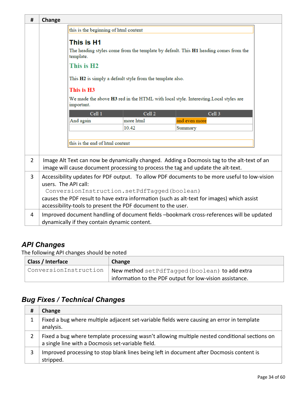| #              | Change                                                                                                                                                                                                                           |                                              |                    |                                                                                          |  |
|----------------|----------------------------------------------------------------------------------------------------------------------------------------------------------------------------------------------------------------------------------|----------------------------------------------|--------------------|------------------------------------------------------------------------------------------|--|
|                | this is the beginning of html content                                                                                                                                                                                            |                                              |                    |                                                                                          |  |
|                | This is H1<br>The heading styles come from the template by default. This H1 heading comes from the<br>template.<br>This is H <sub>2</sub><br>This H2 is simply a default style from the template also.<br>This is H <sub>3</sub> |                                              |                    |                                                                                          |  |
|                |                                                                                                                                                                                                                                  | important.                                   |                    | We made the above H3 red in the HTML with local style. Interesting. Local styles are     |  |
|                |                                                                                                                                                                                                                                  | Cell <sub>1</sub>                            | Cell <sub>2</sub>  | Cell <sub>3</sub>                                                                        |  |
|                |                                                                                                                                                                                                                                  | And again                                    | more html<br>10.42 | and even more<br>Summary                                                                 |  |
|                |                                                                                                                                                                                                                                  |                                              |                    |                                                                                          |  |
|                |                                                                                                                                                                                                                                  | this is the end of html content              |                    |                                                                                          |  |
|                |                                                                                                                                                                                                                                  |                                              |                    |                                                                                          |  |
| $\overline{2}$ | Image Alt Text can now be dynamically changed. Adding a Docmosis tag to the alt-text of an<br>image will cause document processing to process the tag and update the alt-text.                                                   |                                              |                    |                                                                                          |  |
| 3              | Accessibility updates for PDF output. To allow PDF documents to be more useful to low-vision                                                                                                                                     |                                              |                    |                                                                                          |  |
|                | users. The API call:                                                                                                                                                                                                             |                                              |                    |                                                                                          |  |
|                | ConversionInstruction.setPdfTagged(boolean)                                                                                                                                                                                      |                                              |                    |                                                                                          |  |
|                | causes the PDF result to have extra information (such as alt-text for images) which assist<br>accessibility-tools to present the PDF document to the user.                                                                       |                                              |                    |                                                                                          |  |
|                |                                                                                                                                                                                                                                  |                                              |                    |                                                                                          |  |
| 4              |                                                                                                                                                                                                                                  | dynamically if they contain dynamic content. |                    | Improved document handling of document fields -bookmark cross-references will be updated |  |

The following API changes should be noted

| Class / Interface     | Change                                                   |  |
|-----------------------|----------------------------------------------------------|--|
| ConversionInstruction | New method set Pdf Tagged (boolean) to add extra         |  |
|                       | information to the PDF output for low-vision assistance. |  |

| # | Change                                                                                                                                             |
|---|----------------------------------------------------------------------------------------------------------------------------------------------------|
|   | Fixed a bug where multiple adjacent set-variable fields were causing an error in template<br>analysis.                                             |
|   | Fixed a bug where template processing wasn't allowing multiple nested conditional sections on<br>a single line with a Docmosis set-variable field. |
| 3 | Improved processing to stop blank lines being left in document after Docmosis content is<br>stripped.                                              |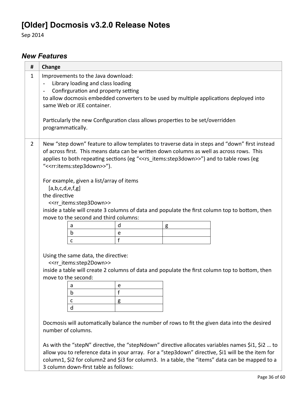# **[Older] Docmosis v3.2.0 Release Notes**

Sep 2014

### *New Features*

| #              | Change                                                                                                                                                                                                                                                                                                                                                                                                                                                                                                                                                                                                                                                                                       |  |  |  |  |
|----------------|----------------------------------------------------------------------------------------------------------------------------------------------------------------------------------------------------------------------------------------------------------------------------------------------------------------------------------------------------------------------------------------------------------------------------------------------------------------------------------------------------------------------------------------------------------------------------------------------------------------------------------------------------------------------------------------------|--|--|--|--|
| 1              | Improvements to the Java download:<br>Library loading and class loading<br>$\qquad \qquad \blacksquare$<br>Confirguration and property setting<br>to allow docmosis embedded converters to be used by multiple applications deployed into<br>same Web or JEE container.<br>Particularly the new Configuration class allows properties to be set/overridden<br>programmatically.                                                                                                                                                                                                                                                                                                              |  |  |  |  |
| $\overline{2}$ | New "step down" feature to allow templates to traverse data in steps and "down" first instead<br>of across first. This means data can be written down columns as well as across rows. This<br>applies to both repeating sections (eg "< <rs items:step3down="">&gt;") and to table rows (eg<br/>"&lt;<rr:items:step3down>&gt;").<br/>For example, given a list/array of items<br/>[a,b,c,d,e,f,g]<br/>the directive<br/>&lt;<rr items:step3down="">&gt;<br/>inside a table will create 3 columns of data and populate the first column top to bottom, then<br/>move to the second and third columns:<br/>d<br/>g<br/>a<br/>b<br/>e<br/>f</rr></rr:items:step3down></rs>                      |  |  |  |  |
|                | C<br>Using the same data, the directive:<br>< <rr items:step2down="">&gt;<br/>inside a table will create 2 columns of data and populate the first column top to bottom, then<br/>move to the second:<br/>a<br/>e<br/>f<br/>b<br/>с<br/>g<br/>d<br/>Docmosis will automatically balance the number of rows to fit the given data into the desired<br/>number of columns.<br/>As with the "stepN" directive, the "stepNdown" directive allocates variables names \$i1, \$i2  to<br/>allow you to reference data in your array. For a "step3down" directive, \$i1 will be the item for<br/>column1, \$i2 for column2 and \$i3 for column3. In a table, the "items" data can be mapped to a</rr> |  |  |  |  |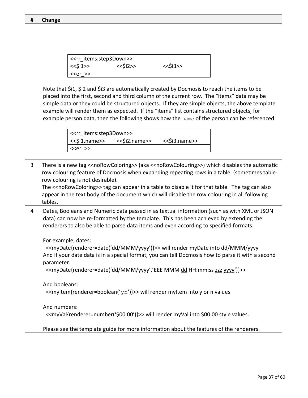| # | Change        |                                                                                                                                                                                                                                                                                                                                                                                                                                                                                            |
|---|---------------|--------------------------------------------------------------------------------------------------------------------------------------------------------------------------------------------------------------------------------------------------------------------------------------------------------------------------------------------------------------------------------------------------------------------------------------------------------------------------------------------|
|   |               |                                                                                                                                                                                                                                                                                                                                                                                                                                                                                            |
|   |               |                                                                                                                                                                                                                                                                                                                                                                                                                                                                                            |
|   |               |                                                                                                                                                                                                                                                                                                                                                                                                                                                                                            |
|   |               | < <rr items:step3down="">&gt;</rr>                                                                                                                                                                                                                                                                                                                                                                                                                                                         |
|   |               | $<<$ \$i1>><br>$<<$ \$i2>><br>$<<$ \$i3>>                                                                                                                                                                                                                                                                                                                                                                                                                                                  |
|   |               | $< >>$                                                                                                                                                                                                                                                                                                                                                                                                                                                                                     |
|   |               | Note that \$i1, \$i2 and \$i3 are automatically created by Docmosis to reach the items to be<br>placed into the first, second and third column of the current row. The "items" data may be<br>simple data or they could be structured objects. If they are simple objects, the above template<br>example will render them as expected. If the "items" list contains structured objects, for<br>example person data, then the following shows how the name of the person can be referenced: |
|   |               | < <rr_items:step3down>&gt;</rr_items:step3down>                                                                                                                                                                                                                                                                                                                                                                                                                                            |
|   |               | <<\$i1.name>><br><<\$i2.name>><br><<\$i3.name>>                                                                                                                                                                                                                                                                                                                                                                                                                                            |
|   |               | $< >>$                                                                                                                                                                                                                                                                                                                                                                                                                                                                                     |
|   |               |                                                                                                                                                                                                                                                                                                                                                                                                                                                                                            |
| 3 | tables.       | There is a new tag << noRowColoring>> (aka << noRowColouring>>) which disables the automatic<br>row colouring feature of Docmosis when expanding repeating rows in a table. (sometimes table-<br>row colouring is not desirable).<br>The < <norowcoloring>&gt; tag can appear in a table to disable it for that table. The tag can also<br/>appear in the text body of the document which will disable the row colouring in all following</norowcoloring>                                  |
| 4 |               | Dates, Booleans and Numeric data passed in as textual information (such as with XML or JSON<br>data) can now be re-formatted by the template. This has been achieved by extending the<br>renderers to also be able to parse data items and even according to specified formats.                                                                                                                                                                                                            |
|   | parameter:    | For example, dates:<br>< <mydate{renderer=date('dd mmm="" yyyy')}="">&gt; will render myDate into dd/MMM/yyyy<br/>And if your date data is in a special format, you can tell Docmosis how to parse it with a second<br/>&lt;<mydate{renderer=date('dd dd="" hh:mm:ss="" mmm="" yyyy')}="" yyyy','eee="" zzz="">&gt;</mydate{renderer=date('dd></mydate{renderer=date('dd>                                                                                                                  |
|   | And booleans: | $\ll$ myltem{renderer=boolean('yn')}>> will render myltem into y or n values                                                                                                                                                                                                                                                                                                                                                                                                               |
|   | And numbers:  | < <myval{renderer=number('\$00.00')}>&gt; will render myVal into \$00.00 style values.</myval{renderer=number('\$00.00')}>                                                                                                                                                                                                                                                                                                                                                                 |
|   |               | Please see the template guide for more information about the features of the renderers.                                                                                                                                                                                                                                                                                                                                                                                                    |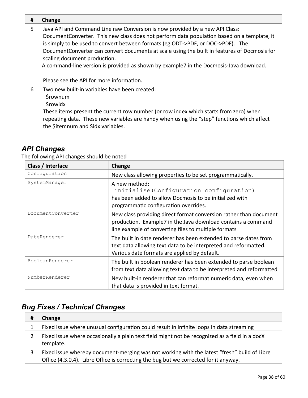| # | Change                                                                                                                                                                                                                                                                                                                                                                                                                                                                                                                                |
|---|---------------------------------------------------------------------------------------------------------------------------------------------------------------------------------------------------------------------------------------------------------------------------------------------------------------------------------------------------------------------------------------------------------------------------------------------------------------------------------------------------------------------------------------|
| 5 | Java API and Command Line raw Conversion is now provided by a new API Class:<br>Document Converter. This new class does not perform data population based on a template, it<br>is simply to be used to convert between formats (eg ODT->PDF, or DOC->PDF). The<br>Document Converter can convert documents at scale using the built in features of Docmosis for<br>scaling document production.<br>A command-line version is provided as shown by example7 in the Docmosis-Java download.<br>Please see the API for more information. |
| 6 | Two new built-in variables have been created:<br><i><b>\$rownum</b></i><br><b><i>Srowidx</i></b><br>These items present the current row number (or row index which starts from zero) when<br>repeating data. These new variables are handy when using the "step" functions which affect<br>the \$itemnum and \$idx variables.                                                                                                                                                                                                         |

The following API changes should be noted

| Class / Interface | Change                                                                                                                                                                                    |
|-------------------|-------------------------------------------------------------------------------------------------------------------------------------------------------------------------------------------|
| Configuration     | New class allowing properties to be set programmatically.                                                                                                                                 |
| SystemManager     | A new method:<br>initialise (Configuration configuration)<br>has been added to allow Docmosis to be initialized with<br>programmatic configuration overrides.                             |
| DocumentConverter | New class providing direct format conversion rather than document<br>production. Example7 in the Java download contains a command<br>line example of converting files to multiple formats |
| DateRenderer      | The built in date renderer has been extended to parse dates from<br>text data allowing text data to be interpreted and reformatted.<br>Various date formats are applied by default.       |
| BooleanRenderer   | The built in boolean renderer has been extended to parse boolean<br>from text data allowing text data to be interpreted and reformatted                                                   |
| NumberRenderer    | New built-in renderer that can reformat numeric data, even when<br>that data is provided in text format.                                                                                  |

| # | Change                                                                                                                                                                              |
|---|-------------------------------------------------------------------------------------------------------------------------------------------------------------------------------------|
|   | Fixed issue where unusual configuration could result in infinite loops in data streaming                                                                                            |
| 2 | Fixed issue where occasionally a plain text field might not be recognized as a field in a docX<br>template.                                                                         |
| 3 | Fixed issue whereby document-merging was not working with the latest "fresh" build of Libre<br>Office (4.3.0.4). Libre Office is correcting the bug but we corrected for it anyway. |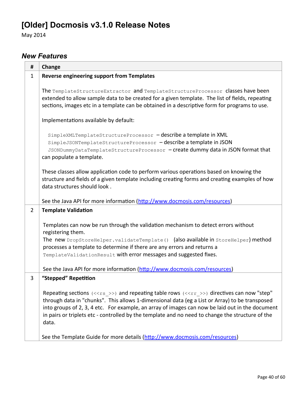# **[Older] Docmosis v3.1.0 Release Notes**

May 2014

### *New Features*

| #              | Change                                                                                                                                                                                                                                                                                                                                                                                                                                                                    |
|----------------|---------------------------------------------------------------------------------------------------------------------------------------------------------------------------------------------------------------------------------------------------------------------------------------------------------------------------------------------------------------------------------------------------------------------------------------------------------------------------|
| $\mathbf{1}$   | <b>Reverse engineering support from Templates</b>                                                                                                                                                                                                                                                                                                                                                                                                                         |
|                | The TemplateStructureExtractor and TemplateStructureProcessor classes have been<br>extended to allow sample data to be created for a given template. The list of fields, repeating<br>sections, images etc in a template can be obtained in a descriptive form for programs to use.                                                                                                                                                                                       |
|                | Implementations available by default:                                                                                                                                                                                                                                                                                                                                                                                                                                     |
|                | SimpleXMLTemplateStructureProcessor - describe a template in XML<br>SimpleJSONTemplateStructureProcessor - describe a template in JSON<br>JSONDummyDataTemplateStructureProcessor - create dummy data in JSON format that<br>can populate a template.                                                                                                                                                                                                                     |
|                | These classes allow application code to perform various operations based on knowing the<br>structure and fields of a given template including creating forms and creating examples of how<br>data structures should look.                                                                                                                                                                                                                                                 |
|                | See the Java API for more information (http://www.docmosis.com/resources)                                                                                                                                                                                                                                                                                                                                                                                                 |
| $\overline{2}$ | <b>Template Validation</b>                                                                                                                                                                                                                                                                                                                                                                                                                                                |
|                | Templates can now be run through the validation mechanism to detect errors without<br>registering them.<br>The new DropStoreHelper.validateTemplate() (also available in StoreHelper) method                                                                                                                                                                                                                                                                              |
|                | processes a template to determine if there are any errors and returns a                                                                                                                                                                                                                                                                                                                                                                                                   |
|                | TemplateValidationResult with error messages and suggested fixes.                                                                                                                                                                                                                                                                                                                                                                                                         |
|                | See the Java API for more information (http://www.docmosis.com/resources)                                                                                                                                                                                                                                                                                                                                                                                                 |
| 3              | "Stepped" Repetition                                                                                                                                                                                                                                                                                                                                                                                                                                                      |
|                | Repeating sections ( $\langle \langle rs \rangle \rangle$ ) and repeating table rows ( $\langle \langle rr \rangle \rangle$ ) directives can now "step"<br>through data in "chunks". This allows 1-dimensional data (eg a List or Array) to be transposed<br>into groups of 2, 3, 4 etc. For example, an array of images can now be laid out in the document<br>in pairs or triplets etc - controlled by the template and no need to change the structure of the<br>data. |
|                | See the Template Guide for more details (http://www.docmosis.com/resources)                                                                                                                                                                                                                                                                                                                                                                                               |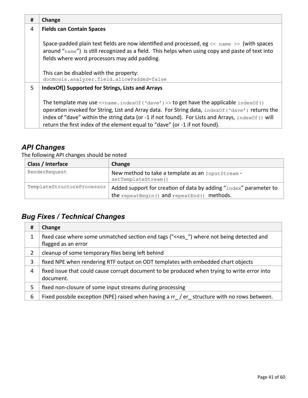| # | Change                                                                                                                                                                                                                                                                                                                                                                                                                                                 |
|---|--------------------------------------------------------------------------------------------------------------------------------------------------------------------------------------------------------------------------------------------------------------------------------------------------------------------------------------------------------------------------------------------------------------------------------------------------------|
| 4 | <b>Fields can Contain Spaces</b>                                                                                                                                                                                                                                                                                                                                                                                                                       |
|   | Space-padded plain text fields are now identified and processed, eg $\lt\lt$ name $\gt$ (with spaces<br>around "name") is still recognized as a field. This helps when using copy and paste of text into<br>fields where word processors may add padding.                                                                                                                                                                                              |
|   | This can be disabled with the property:<br>docmosis.analyzer.field.allowPadded=false                                                                                                                                                                                                                                                                                                                                                                   |
| 5 | IndexOf() Supported for Strings, Lists and Arrays                                                                                                                                                                                                                                                                                                                                                                                                      |
|   | The template may use $\langle$ $\langle$ name.index $\langle$ of ( $\langle$ dave $\langle$ ) $\rangle$ > to get have the applicable index $\langle$ of ()<br>operation invoked for String, List and Array data. For String data, indexOf ('dave') returns the<br>index of "dave" within the string data (or -1 if not found). For Lists and Arrays, index $of$ () will<br>return the first index of the element equal to "dave" (or -1 if not found). |

The following API changes should be noted

| Class / Interface          | Change                                                                   |
|----------------------------|--------------------------------------------------------------------------|
| RenderRequest              | New method to take a template as an InputStream -<br>setTemplateStream() |
| TemplateStructureProcessor | Added support for creation of data by adding "index" parameter to        |
|                            | the repeat Begin() and repeat End() methods.                             |

| #  | Change                                                                                                                                 |
|----|----------------------------------------------------------------------------------------------------------------------------------------|
| 1  | fixed case where some unmatched section end tags ("< <es ")="" and<br="" being="" detected="" not="" where="">flagged as an error</es> |
| 2  | cleanup of some temporary files being left behind                                                                                      |
| 3  | fixed NPE when rendering RTF output on ODT templates with embedded chart objects                                                       |
| 4  | fixed issue that could cause corrupt document to be produced when trying to write error into<br>document.                              |
| 5. | fixed non-closure of some input streams during processing                                                                              |
| 6  | Fixed possbile exception (NPE) raised when having a rr / er _ structure with no rows between.                                          |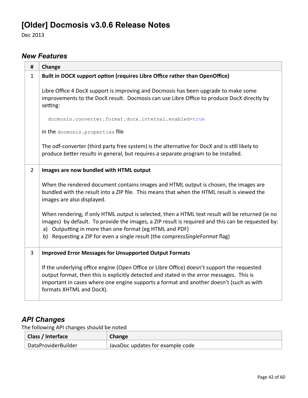# **[Older] Docmosis v3.0.6 Release Notes**

Dec 2013

### *New Features*

| #              | Change                                                                                                                                                                                                                                                                                                                                             |
|----------------|----------------------------------------------------------------------------------------------------------------------------------------------------------------------------------------------------------------------------------------------------------------------------------------------------------------------------------------------------|
| $\mathbf{1}$   | Built in DOCX support option (requires Libre Office rather than OpenOffice)                                                                                                                                                                                                                                                                        |
|                | Libre Office 4 DocX support is improving and Docmosis has been upgrade to make some<br>improvements to the DocX result. Docmosis can use Libre Office to produce DocX directly by<br>setting:                                                                                                                                                      |
|                | docmosis.converter.format.docx.internal.enabled=true                                                                                                                                                                                                                                                                                               |
|                | in the docmosis. properties file                                                                                                                                                                                                                                                                                                                   |
|                | The odf-converter (third party free system) is the alternative for DocX and is still likely to<br>produce better results in general, but requires a separate program to be installed.                                                                                                                                                              |
| $\overline{2}$ | Images are now bundled with HTML output                                                                                                                                                                                                                                                                                                            |
|                | When the rendered document contains images and HTML output is chosen, the images are<br>bundled with the result into a ZIP file. This means that when the HTML result is viewed the<br>images are also displayed.                                                                                                                                  |
|                | When rendering, if only HTML output is selected, then a HTML text result will be returned (ie no<br>images) by default. To provide the images, a ZIP result is required and this can be requested by:<br>a) Outputting in more than one format (eg HTML and PDF)<br>b) Requesting a ZIP for even a single result (the compress Single Format flag) |
|                |                                                                                                                                                                                                                                                                                                                                                    |
| 3              | <b>Improved Error Messages for Unsupported Output Formats</b>                                                                                                                                                                                                                                                                                      |
|                | If the underlying office engine (Open Office or Libre Office) doesn't support the requested<br>output format, then this is explicitly detected and stated in the error messages. This is                                                                                                                                                           |
|                | important in cases where one engine supports a format and another doesn't (such as with<br>formats XHTML and DocX).                                                                                                                                                                                                                                |

# *API Changes*

The following API changes should be noted

| Class / Interface   | Change                           |
|---------------------|----------------------------------|
| DataProviderBuilder | JavaDoc updates for example code |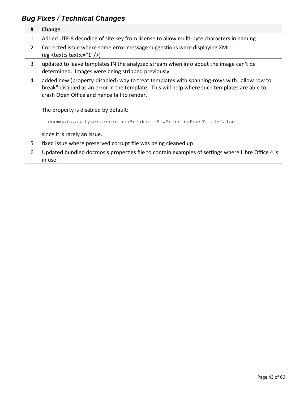| #              | Change                                                                                                                                                                                                                                    |
|----------------|-------------------------------------------------------------------------------------------------------------------------------------------------------------------------------------------------------------------------------------------|
| $\mathbf{1}$   | Added UTF-8 decoding of site key from license to allow multi-byte characters in naming                                                                                                                                                    |
| $\overline{2}$ | Corrected issue where some error message suggestions were displaying XML<br>$(eg <$ text:s text:c="1"/>)                                                                                                                                  |
| 3              | updated to leave templates IN the analyzed stream when info about the image can't be<br>determined. Images were being stripped previously.                                                                                                |
| 4              | added new (property-disabled) way to treat templates with spanning-rows with "allow row to<br>break" disabled as an error in the template. This will help where such templates are able to<br>crash Open Office and hence fail to render. |
|                | The property is disabled by default:                                                                                                                                                                                                      |
|                | docmosis.analyzer.error.nonBreakableRowSpanningRowsFatal=false                                                                                                                                                                            |
|                | since it is rarely an issue.                                                                                                                                                                                                              |
| 5              | fixed issue where preserved corrupt file was being cleaned up                                                                                                                                                                             |
| 6              | Updated bundled docmosis.properties file to contain examples of settings where Libre Office 4 is<br>in use.                                                                                                                               |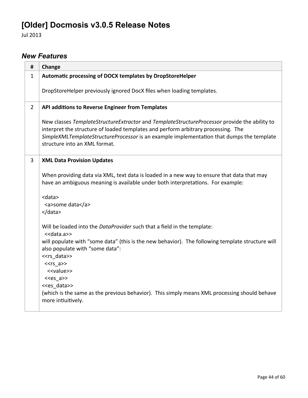# **[Older] Docmosis v3.0.5 Release Notes**

Jul 2013

## *New Features*

| Change                                                                                                                                                                                                                                                                                                         |
|----------------------------------------------------------------------------------------------------------------------------------------------------------------------------------------------------------------------------------------------------------------------------------------------------------------|
| Automatic processing of DOCX templates by DropStoreHelper                                                                                                                                                                                                                                                      |
| DropStoreHelper previously ignored DocX files when loading templates.                                                                                                                                                                                                                                          |
| API additions to Reverse Engineer from Templates                                                                                                                                                                                                                                                               |
| New classes TemplateStructureExtractor and TemplateStructureProcessor provide the ability to<br>interpret the structure of loaded templates and perform arbitrary processing. The<br>SimpleXMLTemplateStructureProcessor is an example implementation that dumps the template<br>structure into an XML format. |
| <b>XML Data Provision Updates</b>                                                                                                                                                                                                                                                                              |
| When providing data via XML, text data is loaded in a new way to ensure that data that may<br>have an ambiguous meaning is available under both interpretations. For example:                                                                                                                                  |
| <data><br/><a>some data</a><br/></data>                                                                                                                                                                                                                                                                        |
| Will be loaded into the DataProvider such that a field in the template:<br>< <data.a>&gt;</data.a>                                                                                                                                                                                                             |
| will populate with "some data" (this is the new behavior). The following template structure will<br>also populate with "some data":                                                                                                                                                                            |
| < <rs_data>&gt;<br/><math>&lt;&lt;</math>rs_a&gt;&gt;</rs_data>                                                                                                                                                                                                                                                |
| < <value>&gt;</value>                                                                                                                                                                                                                                                                                          |
| < <es a="">&gt;<br/>&lt;<es data="">&gt;</es></es>                                                                                                                                                                                                                                                             |
| (which is the same as the previous behavior). This simply means XML processing should behave<br>more intiuitively.                                                                                                                                                                                             |
|                                                                                                                                                                                                                                                                                                                |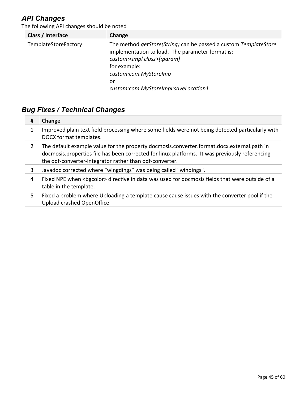The following API changes should be noted

| Class / Interface    | Change                                                                                                                                                                                                    |
|----------------------|-----------------------------------------------------------------------------------------------------------------------------------------------------------------------------------------------------------|
| TemplateStoreFactory | The method getStore(String) can be passed a custom TemplateStore<br>implementation to load. The parameter format is:<br>custom: <impl class="">[:param]<br/>for example:<br/>custom:com.MyStoreImp</impl> |
|                      | or                                                                                                                                                                                                        |
|                      | custom:com.MyStoreImpl:saveLocation1                                                                                                                                                                      |

| #              | Change                                                                                                                                                                                                                                                  |
|----------------|---------------------------------------------------------------------------------------------------------------------------------------------------------------------------------------------------------------------------------------------------------|
|                | Improved plain text field processing where some fields were not being detected particularly with<br>DOCX format templates.                                                                                                                              |
| $\overline{2}$ | The default example value for the property docmosis.converter.format.docx.external.path in<br>docmosis.properties file has been corrected for linux platforms. It was previously referencing<br>the odf-converter-integrator rather than odf-converter. |
| 3              | Javadoc corrected where "wingdings" was being called "windings".                                                                                                                                                                                        |
| 4              | Fixed NPE when<br>bgcolor> directive in data was used for docmosis fields that were outside of a<br>table in the template.                                                                                                                              |
| 5.             | Fixed a problem where Uploading a template cause cause issues with the converter pool if the<br>Upload crashed OpenOffice                                                                                                                               |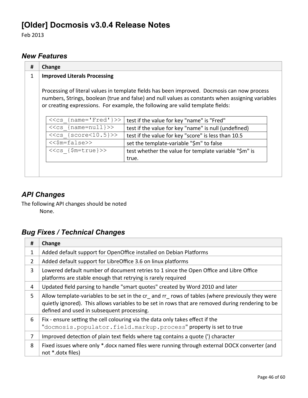# **[Older] Docmosis v3.0.4 Release Notes**

Feb 2013

### *New Features*

| 1 | Change<br><b>Improved Literals Processing</b> |                                                                                                                                                                                                                                                                                   |
|---|-----------------------------------------------|-----------------------------------------------------------------------------------------------------------------------------------------------------------------------------------------------------------------------------------------------------------------------------------|
|   |                                               | Processing of literal values in template fields has been improved. Docmosis can now process<br>numbers, Strings, boolean (true and false) and null values as constants when assigning variables<br>or creating expressions. For example, the following are valid template fields: |
|   |                                               |                                                                                                                                                                                                                                                                                   |
|   | $<<$ cs {name='Fred'}>>                       | test if the value for key "name" is "Fred"                                                                                                                                                                                                                                        |
|   | $<<$ cs {name=null}>>                         | test if the value for key "name" is null (undefined)                                                                                                                                                                                                                              |
|   | $<<$ cs {score $<$ 10.5}>>                    | test if the value for key "score" is less than 10.5                                                                                                                                                                                                                               |
|   | $<<$ \$m=false>>                              | set the template-variable "\$m" to false                                                                                                                                                                                                                                          |
|   | $<<$ cs { $$m=true}>>$                        | test whether the value for template variable "\$m" is                                                                                                                                                                                                                             |

## *API Changes*

The following API changes should be noted None.

| #  | Change                                                                                                                                                                                                                                            |
|----|---------------------------------------------------------------------------------------------------------------------------------------------------------------------------------------------------------------------------------------------------|
| 1  | Added default support for OpenOffice installed on Debian Platforms                                                                                                                                                                                |
| 2  | Added default support for LibreOffice 3.6 on linux platforms                                                                                                                                                                                      |
| 3  | Lowered default number of document retries to 1 since the Open Office and Libre Office<br>platforms are stable enough that retrying is rarely required                                                                                            |
| 4  | Updated field parsing to handle "smart quotes" created by Word 2010 and later                                                                                                                                                                     |
| 5. | Allow template-variables to be set in the cr and rr rows of tables (where previously they were<br>quietly ignored). This allows variables to be set in rows that are removed during rendering to be<br>defined and used in subsequent processing. |
| 6  | Fix - ensure setting the cell colouring via the data only takes effect if the<br>"docmosis.populator.field.markup.process" property is set to true                                                                                                |
| 7  | Improved detection of plain text fields where tag contains a quote (') character                                                                                                                                                                  |
| 8  | Fixed issues where only *.docx named files were running through external DOCX converter (and<br>not *.dotx files)                                                                                                                                 |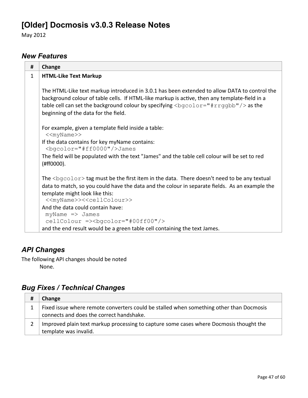# **[Older] Docmosis v3.0.3 Release Notes**

May 2012

### *New Features*

| #            | Change                                                                                                                                                                                                                                                                                                                               |
|--------------|--------------------------------------------------------------------------------------------------------------------------------------------------------------------------------------------------------------------------------------------------------------------------------------------------------------------------------------|
| $\mathbf{1}$ | <b>HTML-Like Text Markup</b>                                                                                                                                                                                                                                                                                                         |
|              | The HTML-Like text markup introduced in 3.0.1 has been extended to allow DATA to control the<br>background colour of table cells. If HTML-like markup is active, then any template-field in a<br>table cell can set the background colour by specifying $\langle$ bqcolor="#rrqqbb"/> as the<br>beginning of the data for the field. |
|              | For example, given a template field inside a table:<br>< <myname>&gt;</myname>                                                                                                                                                                                                                                                       |
|              | If the data contains for key myName contains:<br><bgcolor="#ff0000"></bgcolor="#ff0000"> James                                                                                                                                                                                                                                       |
|              | The field will be populated with the text "James" and the table cell colour will be set to red<br>(#ff0000).                                                                                                                                                                                                                         |
|              | The $<$ bgcolor $>$ tag must be the first item in the data. There doesn't need to be any textual                                                                                                                                                                                                                                     |
|              | data to match, so you could have the data and the colour in separate fields. As an example the                                                                                                                                                                                                                                       |
|              | template might look like this:<br>< <myname>&gt;&lt;<cellcolour>&gt;</cellcolour></myname>                                                                                                                                                                                                                                           |
|              | And the data could contain have:                                                                                                                                                                                                                                                                                                     |
|              | $myName \Rightarrow James$<br>cellColour => <bgcolor="#00ff00"></bgcolor="#00ff00">                                                                                                                                                                                                                                                  |
|              | and the end result would be a green table cell containing the text James.                                                                                                                                                                                                                                                            |

## *API Changes*

The following API changes should be noted None.

| Change                                                                                                                              |
|-------------------------------------------------------------------------------------------------------------------------------------|
| Fixed issue where remote converters could be stalled when something other than Docmosis<br>connects and does the correct handshake. |
| Improved plain text markup processing to capture some cases where Docmosis thought the<br>template was invalid.                     |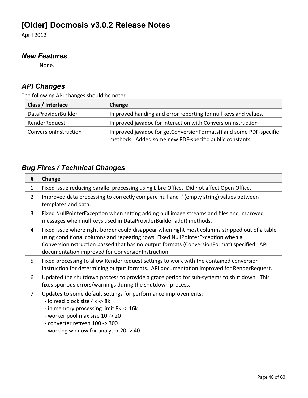# **[Older] Docmosis v3.0.2 Release Notes**

April 2012

### *New Features*

None.

## *API Changes*

The following API changes should be noted

| Class / Interface     | Change                                                                                                                      |
|-----------------------|-----------------------------------------------------------------------------------------------------------------------------|
| DataProviderBuilder   | Improved handing and error reporting for null keys and values.                                                              |
| RenderRequest         | Improved javadoc for interaction with ConversionInstruction                                                                 |
| ConversionInstruction | Improved javadoc for getConversionFormats() and some PDF-specific<br>methods. Added some new PDF-specific public constants. |

| #              | Change                                                                                                                                                                                                                                                                                                                              |
|----------------|-------------------------------------------------------------------------------------------------------------------------------------------------------------------------------------------------------------------------------------------------------------------------------------------------------------------------------------|
| 1              | Fixed issue reducing parallel processing using Libre Office. Did not affect Open Office.                                                                                                                                                                                                                                            |
| $\overline{2}$ | Improved data processing to correctly compare null and " (empty string) values between<br>templates and data.                                                                                                                                                                                                                       |
| 3              | Fixed NullPointerException when setting adding null image streams and files and improved<br>messages when null keys used in DataProviderBuilder add() methods.                                                                                                                                                                      |
| 4              | Fixed issue where right-border could disappear when right most columns stripped out of a table<br>using conditional columns and repeating rows. Fixed NullPointerException when a<br>ConversionInstruction passed that has no output formats (ConversionFormat) specified. API<br>documentation improved for ConversionInstruction. |
| 5              | Fixed processing to allow RenderRequest settings to work with the contained conversion<br>instruction for determining output formats. API documentation improved for RenderRequest.                                                                                                                                                 |
| 6              | Updated the shutdown process to provide a grace period for sub-systems to shut down. This<br>fixes spurious errors/warnings during the shutdown process.                                                                                                                                                                            |
| 7              | Updates to some default settings for performance improvements:<br>- io read block size 4k -> 8k<br>- in memory processing limit 8k -> 16k<br>- worker pool max size 10 -> 20<br>- converter refresh 100 -> 300<br>- working window for analyser 20 -> 40                                                                            |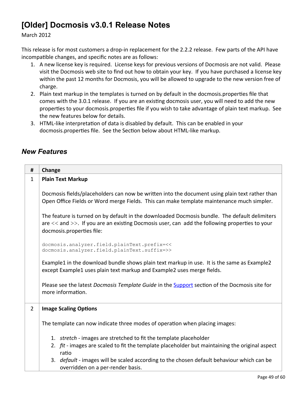# **[Older] Docmosis v3.0.1 Release Notes**

March 2012

This release is for most customers a drop-in replacement for the 2.2.2 release. Few parts of the API have incompatible changes, and specific notes are as follows:

- 1. A new license key is required. License keys for previous versions of Docmosis are not valid. Please visit the Docmosis web site to find out how to obtain your key. If you have purchased a license key within the past 12 months for Docmosis, you will be allowed to upgrade to the new version free of charge.
- 2. Plain text markup in the templates is turned on by default in the docmosis.properties file that comes with the 3.0.1 release. If you are an existing docmosis user, you will need to add the new properties to your docmosis.properties file if you wish to take advantage of plain text markup. See the new features below for details.
- 3. HTML-like interpretation of data is disabled by default. This can be enabled in your docmosis.properties file. See the Section below about HTML-like markup.

### *New Features*

| #              | Change                                                                                                                                                                                                                      |  |
|----------------|-----------------------------------------------------------------------------------------------------------------------------------------------------------------------------------------------------------------------------|--|
| $\mathbf{1}$   | <b>Plain Text Markup</b>                                                                                                                                                                                                    |  |
|                | Docmosis fields/placeholders can now be written into the document using plain text rather than<br>Open Office Fields or Word merge Fields. This can make template maintenance much simpler.                                 |  |
|                | The feature is turned on by default in the downloaded Docmosis bundle. The default delimiters<br>are << and >>. If you are an existing Docmosis user, can add the following properties to your<br>docmosis.properties file: |  |
|                | docmosis.analyzer.field.plainText.prefix=<<<br>docmosis.analyzer.field.plainText.suffix=>>                                                                                                                                  |  |
|                | Example1 in the download bundle shows plain text markup in use. It is the same as Example2<br>except Example1 uses plain text markup and Example2 uses merge fields.                                                        |  |
|                | Please see the latest Docmosis Template Guide in the Support section of the Docmosis site for<br>more information.                                                                                                          |  |
| $\overline{2}$ | <b>Image Scaling Options</b>                                                                                                                                                                                                |  |
|                | The template can now indicate three modes of operation when placing images:                                                                                                                                                 |  |
|                | 1. stretch - images are stretched to fit the template placeholder<br>2. fit - images are scaled to fit the template placeholder but maintaining the original aspect<br>ratio                                                |  |
|                | 3. <i>default</i> - images will be scaled according to the chosen default behaviour which can be<br>overridden on a per-render basis.                                                                                       |  |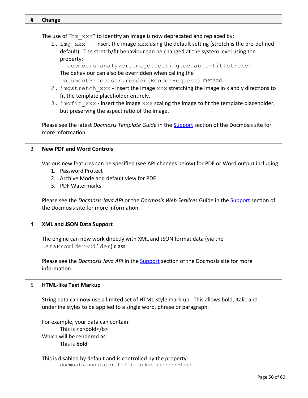| # | Change                                                                                                                                                                                                                                                                                                                                                                                                                                                                                                                                                                                                                                                                                                                                                                                                                                               |
|---|------------------------------------------------------------------------------------------------------------------------------------------------------------------------------------------------------------------------------------------------------------------------------------------------------------------------------------------------------------------------------------------------------------------------------------------------------------------------------------------------------------------------------------------------------------------------------------------------------------------------------------------------------------------------------------------------------------------------------------------------------------------------------------------------------------------------------------------------------|
|   | The use of " $bm$ $xxx$ " to identify an image is now deprecated and replaced by:<br>1. img xxx - insert the image xxx using the default setting (stretch is the pre-defined<br>default). The stretch/fit behaviour can be changed at the system level using the<br>property:<br>docmosis.analyzer.image.scaling.default=fit stretch<br>The behaviour can also be overridden when calling the<br>DocumentProcessor.render(RenderRequest) method.<br>2. imgstretch xxx-insert the image xxx stretching the image in x and y directions to<br>fit the template placeholder entirely.<br>3. imgfit xxx - insert the image xxx scaling the image to fit the template placeholder,<br>but preserving the aspect ratio of the image.<br>Please see the latest Docmosis Template Guide in the Support section of the Docmosis site for<br>more information. |
| 3 | <b>New PDF and Word Controls</b>                                                                                                                                                                                                                                                                                                                                                                                                                                                                                                                                                                                                                                                                                                                                                                                                                     |
|   | Various new features can be specified (see API changes below) for PDF or Word output including<br>1. Password Protect<br>2. Archive Mode and default view for PDF<br>3. PDF Watermarks<br>Please see the Docmosis Java API or the Docmosis Web Services Guide in the Support section of<br>the Docmosis site for more information.                                                                                                                                                                                                                                                                                                                                                                                                                                                                                                                   |
| 4 | <b>XML and JSON Data Support</b>                                                                                                                                                                                                                                                                                                                                                                                                                                                                                                                                                                                                                                                                                                                                                                                                                     |
|   | The engine can now work directly with XML and JSON format data (via the<br>DataProviderBuilder) class.<br>Please see the <i>Docmosis Java API</i> in the <b>Support</b> section of the Docmosis site for more<br>information.                                                                                                                                                                                                                                                                                                                                                                                                                                                                                                                                                                                                                        |
| 5 | <b>HTML-like Text Markup</b>                                                                                                                                                                                                                                                                                                                                                                                                                                                                                                                                                                                                                                                                                                                                                                                                                         |
|   | String data can now use a limited set of HTML-style mark-up. This allows bold, italic and<br>underline styles to be applied to a single word, phrase or paragraph.<br>For example, your data can contain:<br>This is <b>bold</b><br>Which will be rendered as                                                                                                                                                                                                                                                                                                                                                                                                                                                                                                                                                                                        |
|   | This is bold                                                                                                                                                                                                                                                                                                                                                                                                                                                                                                                                                                                                                                                                                                                                                                                                                                         |
|   | This is disabled by default and is controlled by the property:<br>docmosis.populator.field.markup.process=true                                                                                                                                                                                                                                                                                                                                                                                                                                                                                                                                                                                                                                                                                                                                       |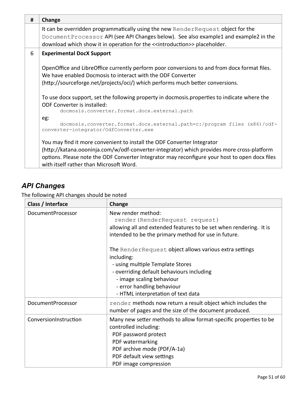| # | Change                                                                                                                                                                                                                                        |  |
|---|-----------------------------------------------------------------------------------------------------------------------------------------------------------------------------------------------------------------------------------------------|--|
|   | It can be overridden programmatically using the new RenderRequest object for the                                                                                                                                                              |  |
|   | DocumentProcessor API (see API Changes below). See also example1 and example2 in the                                                                                                                                                          |  |
|   | download which show it in operation for the < <introduction>&gt; placeholder.</introduction>                                                                                                                                                  |  |
| 6 | <b>Experimental DocX Support</b>                                                                                                                                                                                                              |  |
|   | OpenOffice and LibreOffice currently perform poor conversions to and from docx format files.<br>We have enabled Docmosis to interact with the ODF Converter<br>(http://sourceforge.net/projects/oci/) which performs much better conversions. |  |
|   | To use docx support, set the following property in docmosis properties to indicate where the<br><b>ODF Converter is installed:</b>                                                                                                            |  |
|   | docmosis.converter.format.docx.external.path                                                                                                                                                                                                  |  |
|   | eg:                                                                                                                                                                                                                                           |  |
|   | docmosis.converter.format.docx.external.path=c:/program files (x86)/odf-<br>converter-integrator/OdfConverter.exe                                                                                                                             |  |
|   | You may find it more convenient to install the ODF Converter Integrator                                                                                                                                                                       |  |
|   | (http://katana.oooninja.com/w/odf-converter-integrator) which provides more cross-platform                                                                                                                                                    |  |
|   | options. Please note the ODF Converter Integrator may reconfigure your host to open docx files<br>with itself rather than Microsoft Word.                                                                                                     |  |

The following API changes should be noted

| Class / Interface        | Change                                                                                                                                                                                                                                                 |
|--------------------------|--------------------------------------------------------------------------------------------------------------------------------------------------------------------------------------------------------------------------------------------------------|
| <b>DocumentProcessor</b> | New render method:<br>render (RenderRequest request)<br>allowing all and extended features to be set when rendering. It is<br>intended to be the primary method for use in future.                                                                     |
|                          | The RenderRequest object allows various extra settings<br>including:<br>- using multiple Template Stores<br>- overriding default behaviours including<br>- image scaling behaviour<br>- error handling behaviour<br>- HTML interpretation of text data |
| DocumentProcessor        | render methods now return a result object which includes the<br>number of pages and the size of the document produced.                                                                                                                                 |
| ConversionInstruction    | Many new setter methods to allow format-specific properties to be<br>controlled including:<br>PDF password protect<br>PDF watermarking<br>PDF archive mode (PDF/A-1a)<br>PDF default view settings<br>PDF image compression                            |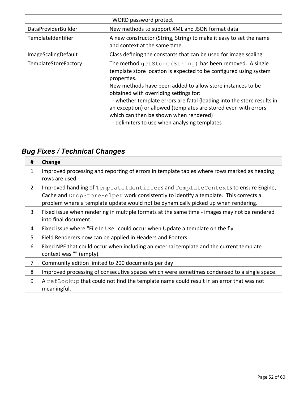|                            | WORD password protect                                                                                                                                                                                                                                                                                                                                                                                                                                                                      |
|----------------------------|--------------------------------------------------------------------------------------------------------------------------------------------------------------------------------------------------------------------------------------------------------------------------------------------------------------------------------------------------------------------------------------------------------------------------------------------------------------------------------------------|
| <b>DataProviderBuilder</b> | New methods to support XML and JSON format data                                                                                                                                                                                                                                                                                                                                                                                                                                            |
| TemplateIdentifier         | A new constructor (String, String) to make it easy to set the name<br>and context at the same time.                                                                                                                                                                                                                                                                                                                                                                                        |
| <b>ImageScalingDefault</b> | Class defining the constants that can be used for image scaling                                                                                                                                                                                                                                                                                                                                                                                                                            |
| TemplateStoreFactory       | The method getStore (String) has been removed. A single<br>template store location is expected to be configured using system<br>properties.<br>New methods have been added to allow store instances to be<br>obtained with overriding settings for:<br>- whether template errors are fatal (loading into the store results in<br>an exception) or allowed (templates are stored even with errors<br>which can then be shown when rendered)<br>- delimiters to use when analysing templates |

| #              | Change                                                                                                                                                                                                                                                       |
|----------------|--------------------------------------------------------------------------------------------------------------------------------------------------------------------------------------------------------------------------------------------------------------|
| 1              | Improved processing and reporting of errors in template tables where rows marked as heading<br>rows are used.                                                                                                                                                |
| $\overline{2}$ | Improved handling of TemplateIdentifiers and TemplateContexts to ensure Engine,<br>Cache and DropStoreHelper work consistently to identify a template. This corrects a<br>problem where a template update would not be dynamically picked up when rendering. |
| 3              | Fixed issue when rendering in multiple formats at the same time - images may not be rendered<br>into final document.                                                                                                                                         |
| 4              | Fixed issue where "File In Use" could occur when Update a template on the fly                                                                                                                                                                                |
| 5              | Field Renderers now can be applied in Headers and Footers                                                                                                                                                                                                    |
| 6              | Fixed NPE that could occur when including an external template and the current template<br>context was "" (empty).                                                                                                                                           |
| 7              | Community edition limited to 200 documents per day                                                                                                                                                                                                           |
| 8              | Improved processing of consecutive spaces which were sometimes condensed to a single space.                                                                                                                                                                  |
| 9              | A refLookup that could not find the template name could result in an error that was not<br>meaningful.                                                                                                                                                       |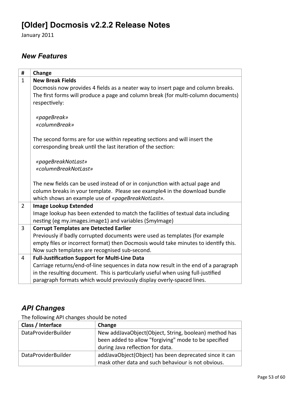# **[Older] Docmosis v2.2.2 Release Notes**

January 2011

### *New Features*

| #              | Change                                                                                                                                     |
|----------------|--------------------------------------------------------------------------------------------------------------------------------------------|
| $\mathbf{1}$   | <b>New Break Fields</b>                                                                                                                    |
|                | Docmosis now provides 4 fields as a neater way to insert page and column breaks.                                                           |
|                | The first forms will produce a page and column break (for multi-column documents)                                                          |
|                | respectively:                                                                                                                              |
|                | «pageBreak»                                                                                                                                |
|                | «columnBreak»                                                                                                                              |
|                |                                                                                                                                            |
|                | The second forms are for use within repeating sections and will insert the<br>corresponding break until the last iteration of the section: |
|                |                                                                                                                                            |
|                | «pageBreakNotLast»                                                                                                                         |
|                | «columnBreakNotLast»                                                                                                                       |
|                |                                                                                                                                            |
|                | The new fields can be used instead of or in conjunction with actual page and                                                               |
|                | column breaks in your template. Please see example4 in the download bundle                                                                 |
|                | which shows an example use of «pageBreakNotLast».                                                                                          |
| $\overline{2}$ | <b>Image Lookup Extended</b>                                                                                                               |
|                | Image lookup has been extended to match the facilities of textual data including                                                           |
|                | nesting (eg my.images.image1) and variables (\$myImage)                                                                                    |
| 3              | <b>Corrupt Templates are Detected Earlier</b>                                                                                              |
|                | Previously if badly corrupted documents were used as templates (for example                                                                |
|                | empty files or incorrect format) then Docmosis would take minutes to identify this.                                                        |
|                | Now such templates are recognised sub-second.                                                                                              |
| 4              | <b>Full-Justification Support for Multi-Line Data</b>                                                                                      |
|                | Carriage returns/end-of-line sequences in data now result in the end of a paragraph                                                        |
|                | in the resulting document. This is particularly useful when using full-justified                                                           |
|                | paragraph formats which would previously display overly-spaced lines.                                                                      |

## *API Changes*

The following API changes should be noted

| Class / Interface                                                                   | Change                                                 |
|-------------------------------------------------------------------------------------|--------------------------------------------------------|
| <b>DataProviderBuilder</b><br>New addJavaObject(Object, String, boolean) method has |                                                        |
|                                                                                     | been added to allow "forgiving" mode to be specified   |
|                                                                                     | during Java reflection for data.                       |
| <b>DataProviderBuilder</b>                                                          | addJavaObject(Object) has been deprecated since it can |
|                                                                                     | mask other data and such behaviour is not obvious.     |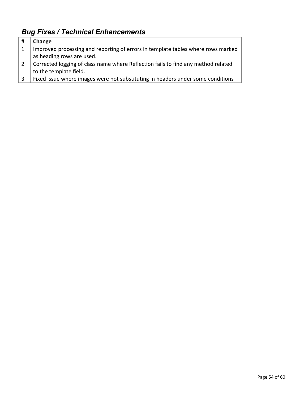| # | Change                                                                            |
|---|-----------------------------------------------------------------------------------|
|   | Improved processing and reporting of errors in template tables where rows marked  |
|   | as heading rows are used.                                                         |
|   | Corrected logging of class name where Reflection fails to find any method related |
|   | to the template field.                                                            |
|   | Fixed issue where images were not substituting in headers under some conditions   |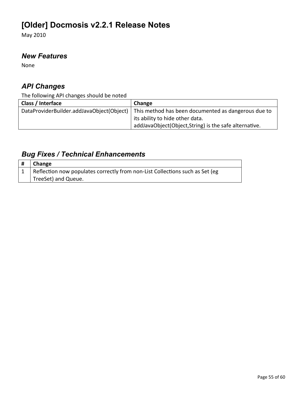# **[Older] Docmosis v2.2.1 Release Notes**

May 2010

### *New Features*

None

## *API Changes*

The following API changes should be noted

| Class / Interface                         | Change                                                |
|-------------------------------------------|-------------------------------------------------------|
| DataProviderBuilder.addJavaObject(Object) | This method has been documented as dangerous due to   |
|                                           | its ability to hide other data.                       |
|                                           | addJavaObject(Object,String) is the safe alternative. |

| $\#$   Change                                                                |
|------------------------------------------------------------------------------|
| Reflection now populates correctly from non-List Collections such as Set (eg |
| TreeSet) and Queue.                                                          |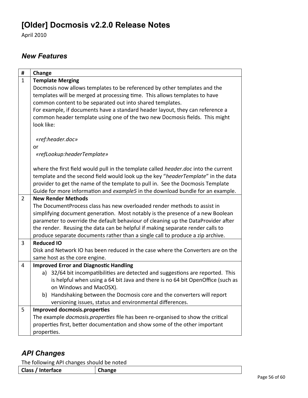# **[Older] Docmosis v2.2.0 Release Notes**

April 2010

### *New Features*

| #              | Change                                                                                     |
|----------------|--------------------------------------------------------------------------------------------|
| $\mathbf{1}$   | <b>Template Merging</b>                                                                    |
|                | Docmosis now allows templates to be referenced by other templates and the                  |
|                | templates will be merged at processing time. This allows templates to have                 |
|                | common content to be separated out into shared templates.                                  |
|                | For example, if documents have a standard header layout, they can reference a              |
|                | common header template using one of the two new Docmosis fields. This might                |
|                | look like:                                                                                 |
|                |                                                                                            |
|                | «ref:header.doc»                                                                           |
|                | or                                                                                         |
|                | «refLookup:headerTemplate»                                                                 |
|                | where the first field would pull in the template called <i>header.doc</i> into the current |
|                | template and the second field would look up the key "headerTemplate" in the data           |
|                | provider to get the name of the template to pull in. See the Docmosis Template             |
|                | Guide for more information and example5 in the download bundle for an example.             |
| $\overline{2}$ | <b>New Render Methods</b>                                                                  |
|                | The DocumentProcess class has new overloaded render methods to assist in                   |
|                | simplifying document generation. Most notably is the presence of a new Boolean             |
|                | parameter to override the default behaviour of cleaning up the DataProvider after          |
|                | the render. Reusing the data can be helpful if making separate render calls to             |
|                | produce separate documents rather than a single call to produce a zip archive.             |
| 3              | <b>Reduced IO</b>                                                                          |
|                | Disk and Network IO has been reduced in the case where the Converters are on the           |
|                | same host as the core engine.                                                              |
| 4              | <b>Improved Error and Diagnostic Handling</b>                                              |
|                | a) 32/64 bit incompatibilities are detected and suggestions are reported. This             |
|                | is helpful when using a 64 bit Java and there is no 64 bit OpenOffice (such as             |
|                | on Windows and MacOSX).                                                                    |
|                | b) Handshaking between the Docmosis core and the converters will report                    |
|                | versioning issues, status and environmental differences.                                   |
| 5              | <b>Improved docmosis.properties</b>                                                        |
|                | The example <i>docmosis.properties</i> file has been re-organised to show the critical     |
|                | properties first, better documentation and show some of the other important                |
|                | properties.                                                                                |

## *API Changes*

The following API changes should be noted

| Class / Interface | Change |
|-------------------|--------|
|                   |        |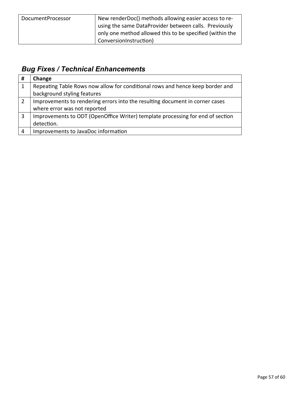| DocumentProcessor | New renderDoc() methods allowing easier access to re-    |
|-------------------|----------------------------------------------------------|
|                   | using the same DataProvider between calls. Previously    |
|                   | only one method allowed this to be specified (within the |
|                   | <sup>I</sup> ConversionInstruction)                      |

| # | Change                                                                         |
|---|--------------------------------------------------------------------------------|
| 1 | Repeating Table Rows now allow for conditional rows and hence keep border and  |
|   | background styling features                                                    |
| 2 | Improvements to rendering errors into the resulting document in corner cases   |
|   | where error was not reported                                                   |
| 3 | Improvements to ODT (OpenOffice Writer) template processing for end of section |
|   | detection.                                                                     |
| 4 | Improvements to JavaDoc information                                            |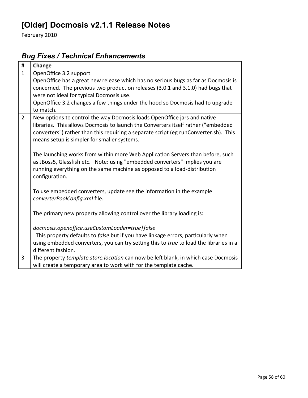# **[Older] Docmosis v2.1.1 Release Notes**

February 2010

| #              | Change                                                                                 |
|----------------|----------------------------------------------------------------------------------------|
| $\mathbf{1}$   | OpenOffice 3.2 support                                                                 |
|                | OpenOffice has a great new release which has no serious bugs as far as Docmosis is     |
|                | concerned. The previous two production releases (3.0.1 and 3.1.0) had bugs that        |
|                | were not ideal for typical Docmosis use.                                               |
|                | OpenOffice 3.2 changes a few things under the hood so Docmosis had to upgrade          |
|                | to match.                                                                              |
| $\overline{2}$ | New options to control the way Docmosis loads OpenOffice jars and native               |
|                | libraries. This allows Docmosis to launch the Converters itself rather ("embedded      |
|                | converters") rather than this requiring a separate script (eg runConverter.sh). This   |
|                | means setup is simpler for smaller systems.                                            |
|                | The launching works from within more Web Application Servers than before, such         |
|                | as JBoss5, Glassfish etc. Note: using "embedded converters" implies you are            |
|                | running everything on the same machine as opposed to a load-distribution               |
|                | configuration.                                                                         |
|                |                                                                                        |
|                | To use embedded converters, update see the information in the example                  |
|                | converterPoolConfig.xml file.                                                          |
|                |                                                                                        |
|                | The primary new property allowing control over the library loading is:                 |
|                |                                                                                        |
|                | docmosis.openoffice.useCustomLoader=true   false                                       |
|                | This property defaults to false but if you have linkage errors, particularly when      |
|                | using embedded converters, you can try setting this to true to load the libraries in a |
|                | different fashion.                                                                     |
| 3              | The property template.store.location can now be left blank, in which case Docmosis     |
|                | will create a temporary area to work with for the template cache.                      |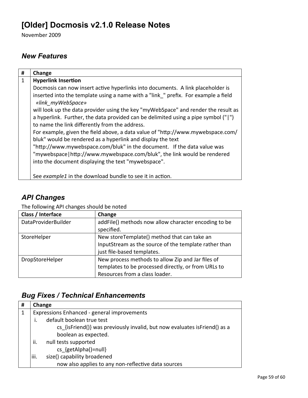# **[Older] Docmosis v2.1.0 Release Notes**

November 2009

### *New Features*

| #            | Change                                                                                                 |
|--------------|--------------------------------------------------------------------------------------------------------|
| $\mathbf{1}$ | <b>Hyperlink Insertion</b>                                                                             |
|              | Docmosis can now insert active hyperlinks into documents. A link placeholder is                        |
|              | inserted into the template using a name with a "link" prefix. For example a field<br>«link myWebSpace» |
|              | will look up the data provider using the key "myWebSpace" and render the result as                     |
|              | a hyperlink. Further, the data provided can be delimited using a pipe symbol (" ")                     |
|              | to name the link differently from the address.                                                         |
|              | For example, given the field above, a data value of "http://www.mywebspace.com/                        |
|              | bluk" would be rendered as a hyperlink and display the text                                            |
|              | "http://www.mywebspace.com/bluk" in the document. If the data value was                                |
|              | "mywebspace   http://www.mywebspace.com/bluk", the link would be rendered                              |
|              | into the document displaying the text "mywebspace".                                                    |
|              |                                                                                                        |
|              | See example1 in the download bundle to see it in action.                                               |

# *API Changes*

The following API changes should be noted

| Class / Interface   | Change                                                                                                                                     |
|---------------------|--------------------------------------------------------------------------------------------------------------------------------------------|
| DataProviderBuilder | addFile() methods now allow character encoding to be<br>specified.                                                                         |
| StoreHelper         | New storeTemplate() method that can take an<br>InputStream as the source of the template rather than<br>just file-based templates.         |
| DropStoreHelper     | New process methods to allow Zip and Jar files of<br>templates to be processed directly, or from URLs to<br>Resources from a class loader. |

| # | Change                                                                    |
|---|---------------------------------------------------------------------------|
| 1 | Expressions Enhanced - general improvements                               |
|   | default boolean true test                                                 |
|   | cs {isFriend()} was previously invalid, but now evaluates isFriend() as a |
|   | boolean as expected.                                                      |
|   | null tests supported<br>ii.                                               |
|   | cs {getAlpha()=null}                                                      |
|   | size() capability broadened<br>iii.                                       |
|   | now also applies to any non-reflective data sources                       |